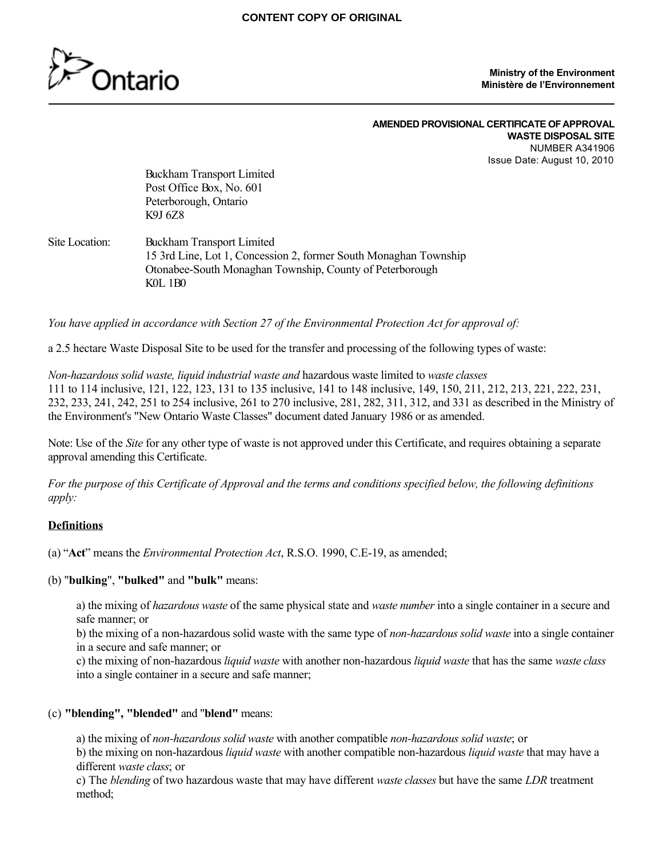

#### **Ministry of the Environment Ministère de l'Environnement**

#### **AMENDED PROVISIONAL CERTIFICATE OF APPROVAL WASTE DISPOSAL SITE** NUMBER A341906 Issue Date: August 10, 2010

Buckham Transport Limited Post Office Box, No. 601 Peterborough, Ontario K9J 6Z8

#### Site Location: Buckham Transport Limited 15 3rd Line, Lot 1, Concession 2, former South Monaghan Township Otonabee-South Monaghan Township, County of Peterborough K0L 1B0

*You have applied in accordance with Section 27 of the Environmental Protection Act for approval of:*

a 2.5 hectare Waste Disposal Site to be used for the transfer and processing of the following types of waste:

*Non-hazardous solid waste, liquid industrial waste and* hazardous waste limited to *waste classes* 111 to 114 inclusive, 121, 122, 123, 131 to 135 inclusive, 141 to 148 inclusive, 149, 150, 211, 212, 213, 221, 222, 231, 232, 233, 241, 242, 251 to 254 inclusive, 261 to 270 inclusive, 281, 282, 311, 312, and 331 as described in the Ministry of the Environment's "New Ontario Waste Classes" document dated January 1986 or as amended.

Note: Use of the *Site* for any other type of waste is not approved under this Certificate, and requires obtaining a separate approval amending this Certificate.

*For the purpose of this Certificate of Approval and the terms and conditions specified below, the following definitions apply:*

## **Definitions**

(a) "**Act**" means the *Environmental Protection Act*, R.S.O. 1990, C.E-19, as amended;

(b) "**bulking**", **"bulked"** and **"bulk"** means:

a) the mixing of *hazardous waste* of the same physical state and *waste number* into a single container in a secure and safe manner; or

b) the mixing of a non-hazardous solid waste with the same type of *non-hazardous solid waste* into a single container in a secure and safe manner; or

c) the mixing of non-hazardous *liquid waste* with another non-hazardous *liquid waste* that has the same *waste class* into a single container in a secure and safe manner;

## (c) **"blending", "blended"** and "**blend"** means:

a) the mixing of *non-hazardous solid waste* with another compatible *non-hazardous solid waste*; or b) the mixing on non-hazardous *liquid waste* with another compatible non-hazardous *liquid waste* that may have a different *waste class*; or

c) The *blending* of two hazardous waste that may have different *waste classes* but have the same *LDR* treatment method;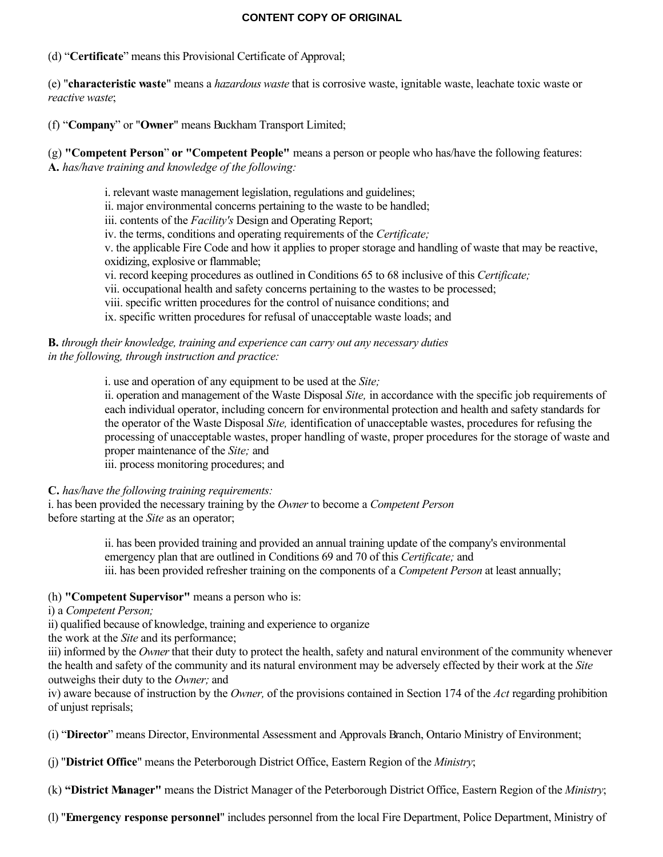(d) "**Certificate**" means this Provisional Certificate of Approval;

(e) "**characteristic waste**" means a *hazardous waste* that is corrosive waste, ignitable waste, leachate toxic waste or *reactive waste*;

(f) "**Company**" or "**Owner**" means Buckham Transport Limited;

(g) **"Competent Person**" **or "Competent People"** means a person or people who has/have the following features: **A.** *has/have training and knowledge of the following:*

i. relevant waste management legislation, regulations and guidelines;

ii. major environmental concerns pertaining to the waste to be handled;

iii. contents of the *Facility's* Design and Operating Report;

iv. the terms, conditions and operating requirements of the *Certificate;*

v. the applicable Fire Code and how it applies to proper storage and handling of waste that may be reactive, oxidizing, explosive or flammable;

vi. record keeping procedures as outlined in Conditions 65 to 68 inclusive of this *Certificate;*

vii. occupational health and safety concerns pertaining to the wastes to be processed;

viii. specific written procedures for the control of nuisance conditions; and

ix. specific written procedures for refusal of unacceptable waste loads; and

**B.** *through their knowledge, training and experience can carry out any necessary duties in the following, through instruction and practice:*

i. use and operation of any equipment to be used at the *Site;*

ii. operation and management of the Waste Disposal *Site,* in accordance with the specific job requirements of each individual operator, including concern for environmental protection and health and safety standards for the operator of the Waste Disposal *Site,* identification of unacceptable wastes, procedures for refusing the processing of unacceptable wastes, proper handling of waste, proper procedures for the storage of waste and proper maintenance of the *Site;* and

iii. process monitoring procedures; and

## **C.** *has/have the following training requirements:*

i. has been provided the necessary training by the *Owner* to become a *Competent Person* before starting at the *Site* as an operator;

> ii. has been provided training and provided an annual training update of the company's environmental emergency plan that are outlined in Conditions 69 and 70 of this *Certificate;* and iii. has been provided refresher training on the components of a *Competent Person* at least annually;

## (h) **"Competent Supervisor"** means a person who is:

## i) a *Competent Person;*

ii) qualified because of knowledge, training and experience to organize

the work at the *Site* and its performance;

iii) informed by the *Owner* that their duty to protect the health, safety and natural environment of the community whenever the health and safety of the community and its natural environment may be adversely effected by their work at the *Site* outweighs their duty to the *Owner;* and

iv) aware because of instruction by the *Owner,* of the provisions contained in Section 174 of the *Act* regarding prohibition of unjust reprisals;

(i) "**Director**" means Director, Environmental Assessment and Approvals Branch, Ontario Ministry of Environment;

(j) "**District Office**" means the Peterborough District Office, Eastern Region of the *Ministry*;

(k) **"District Manager"** means the District Manager of the Peterborough District Office, Eastern Region of the *Ministry*;

(l) "**Emergency response personnel**" includes personnel from the local Fire Department, Police Department, Ministry of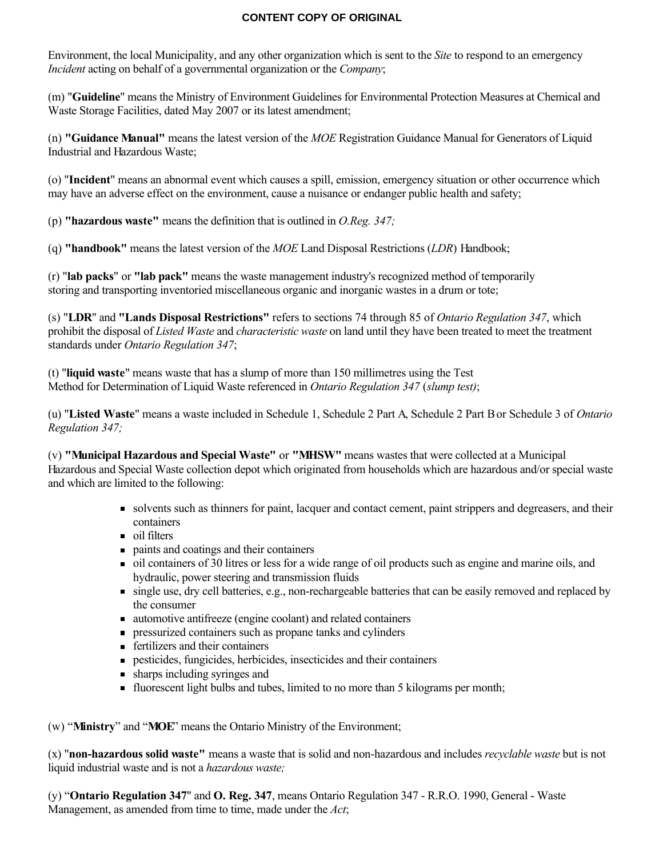Environment, the local Municipality, and any other organization which is sent to the *Site* to respond to an emergency *Incident* acting on behalf of a governmental organization or the *Company*;

(m) "**Guideline**" means the Ministry of Environment Guidelines for Environmental Protection Measures at Chemical and Waste Storage Facilities, dated May 2007 or its latest amendment;

(n) **"Guidance Manual"** means the latest version of the *MOE* Registration Guidance Manual for Generators of Liquid Industrial and Hazardous Waste;

(o) "**Incident**" means an abnormal event which causes a spill, emission, emergency situation or other occurrence which may have an adverse effect on the environment, cause a nuisance or endanger public health and safety;

(p) **"hazardous waste"** means the definition that is outlined in *O.Reg. 347;*

(q) **"handbook"** means the latest version of the *MOE* Land Disposal Restrictions (*LDR*) Handbook;

(r) "**lab packs**" or **"lab pack"** means the waste management industry's recognized method of temporarily storing and transporting inventoried miscellaneous organic and inorganic wastes in a drum or tote;

(s) "**LDR**" and **"Lands Disposal Restrictions"** refers to sections 74 through 85 of *Ontario Regulation 347*, which prohibit the disposal of *Listed Waste* and *characteristic waste* on land until they have been treated to meet the treatment standards under *Ontario Regulation 347*;

(t) "**liquid waste**" means waste that has a slump of more than 150 millimetres using the Test Method for Determination of Liquid Waste referenced in *Ontario Regulation 347* (*slump test)*;

(u) "**Listed Waste**" means a waste included in Schedule 1, Schedule 2 Part A, Schedule 2 Part B or Schedule 3 of *Ontario Regulation 347;*

(v) **"Municipal Hazardous and Special Waste"** or **"MHSW"** means wastes that were collected at a Municipal Hazardous and Special Waste collection depot which originated from households which are hazardous and/or special waste and which are limited to the following:

- solvents such as thinners for paint, lacquer and contact cement, paint strippers and degreasers, and their containers
- oil filters
- paints and coatings and their containers
- oil containers of 30 litres or less for a wide range of oil products such as engine and marine oils, and hydraulic, power steering and transmission fluids
- single use, dry cell batteries, e.g., non-rechargeable batteries that can be easily removed and replaced by the consumer
- automotive antifreeze (engine coolant) and related containers
- pressurized containers such as propane tanks and cylinders
- fertilizers and their containers
- pesticides, fungicides, herbicides, insecticides and their containers
- sharps including syringes and
- fluorescent light bulbs and tubes, limited to no more than 5 kilograms per month;

(w) "**Ministry**" and "**MOE**" means the Ontario Ministry of the Environment;

(x) "**non-hazardous solid waste"** means a waste that is solid and non-hazardous and includes *recyclable waste* but is not liquid industrial waste and is not a *hazardous waste;*

(y) "**Ontario Regulation 347**" and **O. Reg. 347**, means Ontario Regulation 347 - R.R.O. 1990, General - Waste Management, as amended from time to time, made under the *Act*;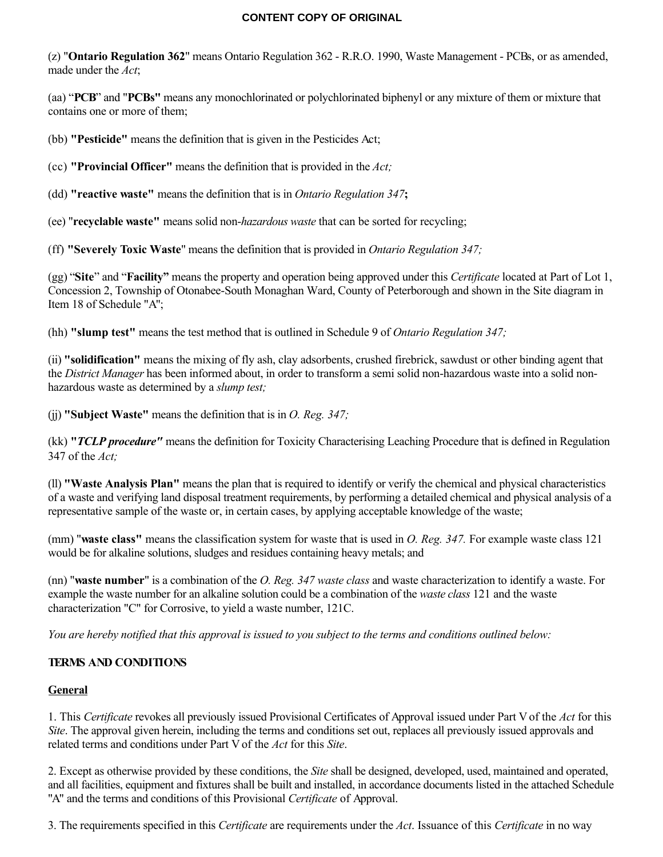(z) "**Ontario Regulation 362**" means Ontario Regulation 362 - R.R.O. 1990, Waste Management - PCBs, or as amended, made under the *Act*;

(aa) "**PCB**" and "**PCBs"** means any monochlorinated or polychlorinated biphenyl or any mixture of them or mixture that contains one or more of them;

(bb) **"Pesticide"** means the definition that is given in the Pesticides Act;

(cc) **"Provincial Officer"** means the definition that is provided in the *Act;*

(dd) **"reactive waste"** means the definition that is in *Ontario Regulation 347***;**

(ee) "**recyclable waste"** means solid non-*hazardous waste* that can be sorted for recycling;

(ff) **"Severely Toxic Waste**" means the definition that is provided in *Ontario Regulation 347;*

(gg) "**Site**" and "**Facility"** means the property and operation being approved under this *Certificate* located at Part of Lot 1, Concession 2, Township of Otonabee-South Monaghan Ward, County of Peterborough and shown in the Site diagram in Item 18 of Schedule "A";

(hh) **"slump test"** means the test method that is outlined in Schedule 9 of *Ontario Regulation 347;*

(ii) **"solidification"** means the mixing of fly ash, clay adsorbents, crushed firebrick, sawdust or other binding agent that the *District Manager* has been informed about, in order to transform a semi solid non-hazardous waste into a solid nonhazardous waste as determined by a *slump test;*

(jj) **"Subject Waste"** means the definition that is in *O. Reg. 347;*

(kk) **"***TCLP procedure"* means the definition for Toxicity Characterising Leaching Procedure that is defined in Regulation 347 of the *Act;*

(ll) **"Waste Analysis Plan"** means the plan that is required to identify or verify the chemical and physical characteristics of a waste and verifying land disposal treatment requirements, by performing a detailed chemical and physical analysis of a representative sample of the waste or, in certain cases, by applying acceptable knowledge of the waste;

(mm) "**waste class"** means the classification system for waste that is used in *O. Reg. 347.* For example waste class 121 would be for alkaline solutions, sludges and residues containing heavy metals; and

(nn) "**waste number**" is a combination of the *O. Reg. 347 waste class* and waste characterization to identify a waste. For example the waste number for an alkaline solution could be a combination of the *waste class* 121 and the waste characterization "C" for Corrosive, to yield a waste number, 121C.

*You are hereby notified that this approval is issued to you subject to the terms and conditions outlined below:*

# **TERMS AND CONDITIONS**

## **General**

1. This *Certificate* revokes all previously issued Provisional Certificates of Approval issued under Part V of the *Act* for this *Site*. The approval given herein, including the terms and conditions set out, replaces all previously issued approvals and related terms and conditions under Part V of the *Act* for this *Site*.

2. Except as otherwise provided by these conditions, the *Site* shall be designed, developed, used, maintained and operated, and all facilities, equipment and fixtures shall be built and installed, in accordance documents listed in the attached Schedule "A" and the terms and conditions of this Provisional *Certificate* of Approval.

3. The requirements specified in this *Certificate* are requirements under the *Act*. Issuance of this *Certificate* in no way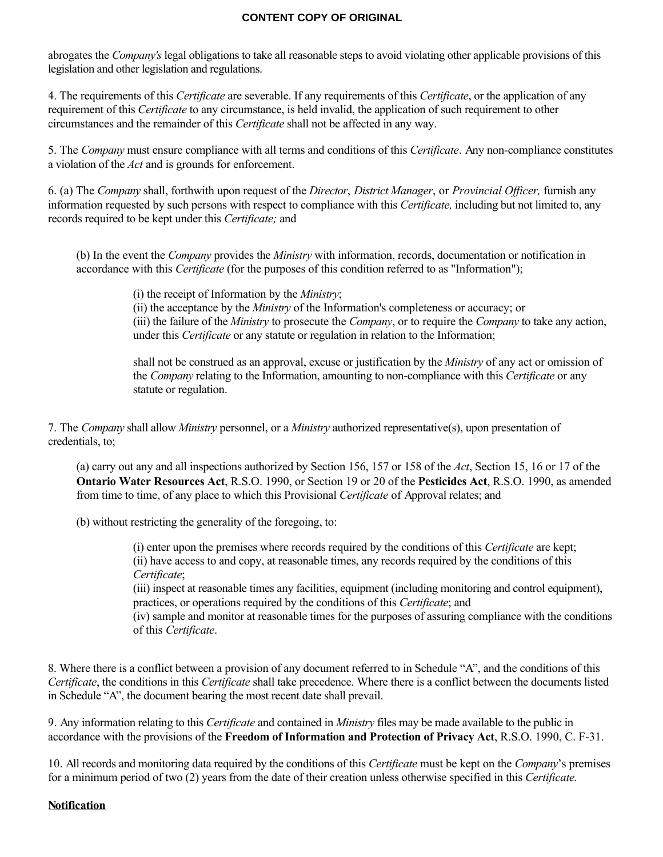abrogates the *Company's* legal obligations to take all reasonable steps to avoid violating other applicable provisions of this legislation and other legislation and regulations.

4. The requirements of this *Certificate* are severable. If any requirements of this *Certificate*, or the application of any requirement of this *Certificate* to any circumstance, is held invalid, the application of such requirement to other circumstances and the remainder of this *Certificate* shall not be affected in any way.

5. The *Company* must ensure compliance with all terms and conditions of this *Certificate*. Any non-compliance constitutes a violation of the *Act* and is grounds for enforcement.

6. (a) The *Company* shall, forthwith upon request of the *Director*, *District Manager*, or *Provincial Officer,* furnish any information requested by such persons with respect to compliance with this *Certificate,* including but not limited to, any records required to be kept under this *Certificate;* and

(b) In the event the *Company* provides the *Ministry* with information, records, documentation or notification in accordance with this *Certificate* (for the purposes of this condition referred to as "Information");

(i) the receipt of Information by the *Ministry*;

(ii) the acceptance by the *Ministry* of the Information's completeness or accuracy; or (iii) the failure of the *Ministry* to prosecute the *Company*, or to require the *Company* to take any action, under this *Certificate* or any statute or regulation in relation to the Information;

shall not be construed as an approval, excuse or justification by the *Ministry* of any act or omission of the *Company* relating to the Information, amounting to non-compliance with this *Certificate* or any statute or regulation.

7. The *Company* shall allow *Ministry* personnel, or a *Ministry* authorized representative(s), upon presentation of credentials, to;

(a) carry out any and all inspections authorized by Section 156, 157 or 158 of the *Act*, Section 15, 16 or 17 of the **Ontario Water Resources Act**, R.S.O. 1990, or Section 19 or 20 of the **Pesticides Act**, R.S.O. 1990, as amended from time to time, of any place to which this Provisional *Certificate* of Approval relates; and

(b) without restricting the generality of the foregoing, to:

(i) enter upon the premises where records required by the conditions of this *Certificate* are kept; (ii) have access to and copy, at reasonable times, any records required by the conditions of this *Certificate*;

(iii) inspect at reasonable times any facilities, equipment (including monitoring and control equipment), practices, or operations required by the conditions of this *Certificate*; and

(iv) sample and monitor at reasonable times for the purposes of assuring compliance with the conditions of this *Certificate*.

8. Where there is a conflict between a provision of any document referred to in Schedule "A", and the conditions of this *Certificate*, the conditions in this *Certificate* shall take precedence. Where there is a conflict between the documents listed in Schedule "A", the document bearing the most recent date shall prevail.

9. Any information relating to this *Certificate* and contained in *Ministry* files may be made available to the public in accordance with the provisions of the **Freedom of Information and Protection of Privacy Act**, R.S.O. 1990, C. F-31.

10. All records and monitoring data required by the conditions of this *Certificate* must be kept on the *Company*'s premises for a minimum period of two (2) years from the date of their creation unless otherwise specified in this *Certificate.*

#### **Notification**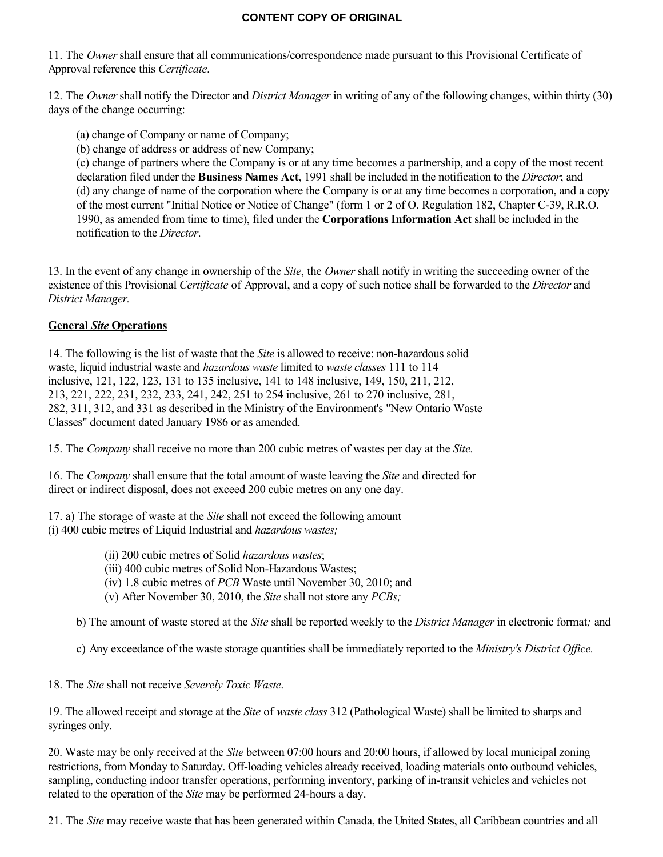11. The *Owner* shall ensure that all communications/correspondence made pursuant to this Provisional Certificate of Approval reference this *Certificate*.

12. The *Owner* shall notify the Director and *District Manager* in writing of any of the following changes, within thirty (30) days of the change occurring:

- (a) change of Company or name of Company;
- (b) change of address or address of new Company;

(c) change of partners where the Company is or at any time becomes a partnership, and a copy of the most recent declaration filed under the **Business Names Act**, 1991 shall be included in the notification to the *Director*; and (d) any change of name of the corporation where the Company is or at any time becomes a corporation, and a copy of the most current "Initial Notice or Notice of Change" (form 1 or 2 of O. Regulation 182, Chapter C-39, R.R.O. 1990, as amended from time to time), filed under the **Corporations Information Act** shall be included in the notification to the *Director*.

13. In the event of any change in ownership of the *Site*, the *Owner* shall notify in writing the succeeding owner of the existence of this Provisional *Certificate* of Approval, and a copy of such notice shall be forwarded to the *Director* and *District Manager.*

## **General** *Site* **Operations**

14. The following is the list of waste that the *Site* is allowed to receive: non-hazardous solid waste, liquid industrial waste and *hazardous waste* limited to *waste classes* 111 to 114 inclusive, 121, 122, 123, 131 to 135 inclusive, 141 to 148 inclusive, 149, 150, 211, 212, 213, 221, 222, 231, 232, 233, 241, 242, 251 to 254 inclusive, 261 to 270 inclusive, 281, 282, 311, 312, and 331 as described in the Ministry of the Environment's "New Ontario Waste Classes" document dated January 1986 or as amended.

15. The *Company* shall receive no more than 200 cubic metres of wastes per day at the *Site.*

16. The *Company* shall ensure that the total amount of waste leaving the *Site* and directed for direct or indirect disposal, does not exceed 200 cubic metres on any one day.

17. a) The storage of waste at the *Site* shall not exceed the following amount

(i) 400 cubic metres of Liquid Industrial and *hazardous wastes;*

- (ii) 200 cubic metres of Solid *hazardous wastes*;
- (iii) 400 cubic metres of Solid Non-Hazardous Wastes;
- (iv) 1.8 cubic metres of *PCB* Waste until November 30, 2010; and
- (v) After November 30, 2010, the *Site* shall not store any *PCBs;*

b) The amount of waste stored at the *Site* shall be reported weekly to the *District Manager* in electronic format*;* and

c) Any exceedance of the waste storage quantities shall be immediately reported to the *Ministry's District Office.*

18. The *Site* shall not receive *Severely Toxic Waste*.

19. The allowed receipt and storage at the *Site* of *waste class* 312 (Pathological Waste) shall be limited to sharps and syringes only.

20. Waste may be only received at the *Site* between 07:00 hours and 20:00 hours, if allowed by local municipal zoning restrictions, from Monday to Saturday. Off-loading vehicles already received, loading materials onto outbound vehicles, sampling, conducting indoor transfer operations, performing inventory, parking of in-transit vehicles and vehicles not related to the operation of the *Site* may be performed 24-hours a day.

21. The *Site* may receive waste that has been generated within Canada, the United States, all Caribbean countries and all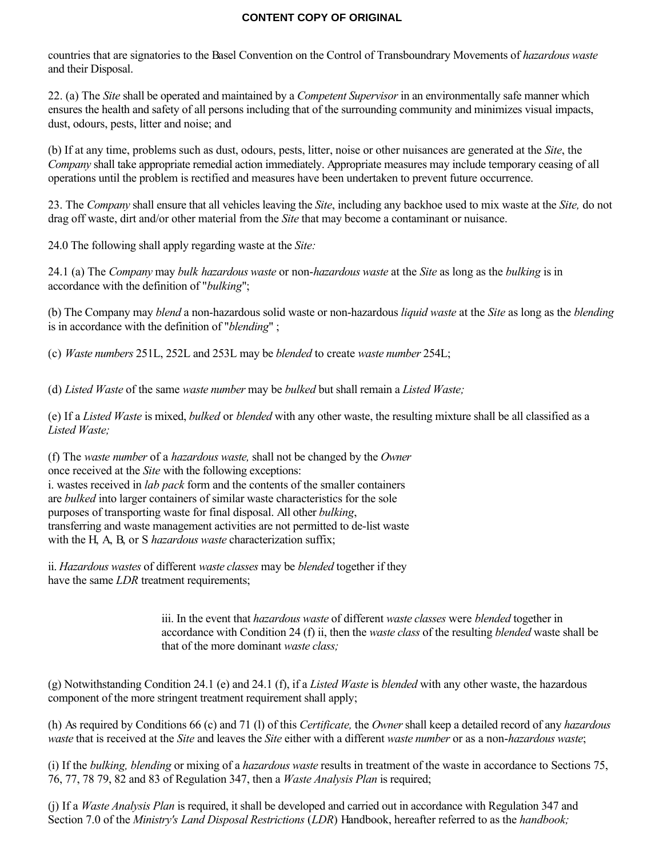countries that are signatories to the Basel Convention on the Control of Transboundrary Movements of *hazardous waste* and their Disposal.

22. (a) The *Site* shall be operated and maintained by a *Competent Supervisor* in an environmentally safe manner which ensures the health and safety of all persons including that of the surrounding community and minimizes visual impacts, dust, odours, pests, litter and noise; and

(b) If at any time, problems such as dust, odours, pests, litter, noise or other nuisances are generated at the *Site*, the *Company* shall take appropriate remedial action immediately. Appropriate measures may include temporary ceasing of all operations until the problem is rectified and measures have been undertaken to prevent future occurrence.

23. The *Company* shall ensure that all vehicles leaving the *Site*, including any backhoe used to mix waste at the *Site,* do not drag off waste, dirt and/or other material from the *Site* that may become a contaminant or nuisance.

24.0 The following shall apply regarding waste at the *Site:*

24.1 (a) The *Company* may *bulk hazardous waste* or non-*hazardous waste* at the *Site* as long as the *bulking* is in accordance with the definition of "*bulking*";

(b) The Company may *blend* a non-hazardous solid waste or non-hazardous *liquid waste* at the *Site* as long as the *blending* is in accordance with the definition of "*blending*" ;

(c) *Waste numbers* 251L, 252L and 253L may be *blended* to create *waste number* 254L;

(d) *Listed Waste* of the same *waste number* may be *bulked* but shall remain a *Listed Waste;*

(e) If a *Listed Waste* is mixed, *bulked* or *blended* with any other waste, the resulting mixture shall be all classified as a *Listed Waste;*

(f) The *waste number* of a *hazardous waste,* shall not be changed by the *Owner* once received at the *Site* with the following exceptions: i. wastes received in *lab pack* form and the contents of the smaller containers are *bulked* into larger containers of similar waste characteristics for the sole purposes of transporting waste for final disposal. All other *bulking*, transferring and waste management activities are not permitted to de-list waste with the H, A, B, or S *hazardous waste* characterization suffix;

ii. *Hazardous wastes* of different *waste classes* may be *blended* together if they have the same *LDR* treatment requirements;

> iii. In the event that *hazardous waste* of different *waste classes* were *blended* together in accordance with Condition 24 (f) ii, then the *waste class* of the resulting *blended* waste shall be that of the more dominant *waste class;*

(g) Notwithstanding Condition 24.1 (e) and 24.1 (f), if a *Listed Waste* is *blended* with any other waste, the hazardous component of the more stringent treatment requirement shall apply;

(h) As required by Conditions 66 (c) and 71 (l) of this *Certificate,* the *Owner* shall keep a detailed record of any *hazardous waste* that is received at the *Site* and leaves the *Site* either with a different *waste number* or as a non-*hazardous waste*;

(i) If the *bulking, blending* or mixing of a *hazardous waste* results in treatment of the waste in accordance to Sections 75, 76, 77, 78 79, 82 and 83 of Regulation 347, then a *Waste Analysis Plan* is required;

(j) If a *Waste Analysis Plan* is required, it shall be developed and carried out in accordance with Regulation 347 and Section 7.0 of the *Ministry's Land Disposal Restrictions* (*LDR*) Handbook, hereafter referred to as the *handbook;*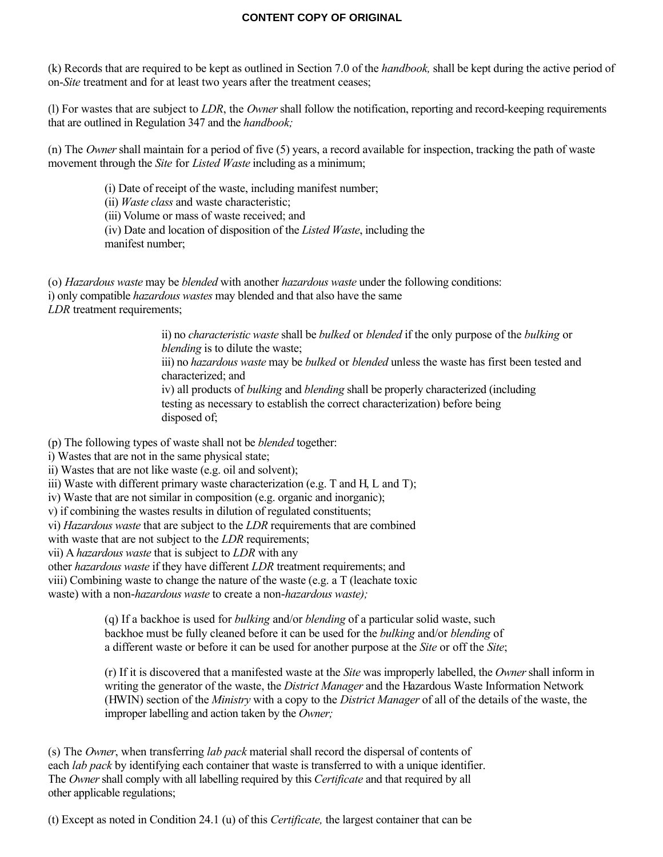(k) Records that are required to be kept as outlined in Section 7.0 of the *handbook,* shall be kept during the active period of on-*Site* treatment and for at least two years after the treatment ceases;

(l) For wastes that are subject to *LDR*, the *Owner* shall follow the notification, reporting and record-keeping requirements that are outlined in Regulation 347 and the *handbook;*

(n) The *Owner* shall maintain for a period of five (5) years, a record available for inspection, tracking the path of waste movement through the *Site* for *Listed Waste* including as a minimum;

(i) Date of receipt of the waste, including manifest number;

(ii) *Waste class* and waste characteristic;

(iii) Volume or mass of waste received; and

(iv) Date and location of disposition of the *Listed Waste*, including the manifest number;

(o) *Hazardous waste* may be *blended* with another *hazardous waste* under the following conditions: i) only compatible *hazardous wastes* may blended and that also have the same *LDR* treatment requirements;

> ii) no *characteristic waste* shall be *bulked* or *blended* if the only purpose of the *bulking* or *blending* is to dilute the waste; iii) no *hazardous waste* may be *bulked* or *blended* unless the waste has first been tested and characterized; and iv) all products of *bulking* and *blending* shall be properly characterized (including testing as necessary to establish the correct characterization) before being disposed of;

(p) The following types of waste shall not be *blended* together:

i) Wastes that are not in the same physical state;

ii) Wastes that are not like waste (e.g. oil and solvent);

iii) Waste with different primary waste characterization (e.g.  $T$  and  $H$ ,  $L$  and  $T$ );

iv) Waste that are not similar in composition (e.g. organic and inorganic);

v) if combining the wastes results in dilution of regulated constituents;

vi) *Hazardous waste* that are subject to the *LDR* requirements that are combined

with waste that are not subject to the *LDR* requirements;

vii) A *hazardous waste* that is subject to *LDR* with any

other *hazardous waste* if they have different *LDR* treatment requirements; and

viii) Combining waste to change the nature of the waste (e.g. a T (leachate toxic

waste) with a non-*hazardous waste* to create a non-*hazardous waste);*

(q) If a backhoe is used for *bulking* and/or *blending* of a particular solid waste, such backhoe must be fully cleaned before it can be used for the *bulking* and/or *blending* of a different waste or before it can be used for another purpose at the *Site* or off the *Site*;

(r) If it is discovered that a manifested waste at the *Site* was improperly labelled, the *Owner* shall inform in writing the generator of the waste, the *District Manager* and the Hazardous Waste Information Network (HWIN) section of the *Ministry* with a copy to the *District Manager* of all of the details of the waste, the improper labelling and action taken by the *Owner;*

(s) The *Owner*, when transferring *lab pack* material shall record the dispersal of contents of each *lab pack* by identifying each container that waste is transferred to with a unique identifier. The *Owner* shall comply with all labelling required by this *Certificate* and that required by all other applicable regulations;

(t) Except as noted in Condition 24.1 (u) of this *Certificate,* the largest container that can be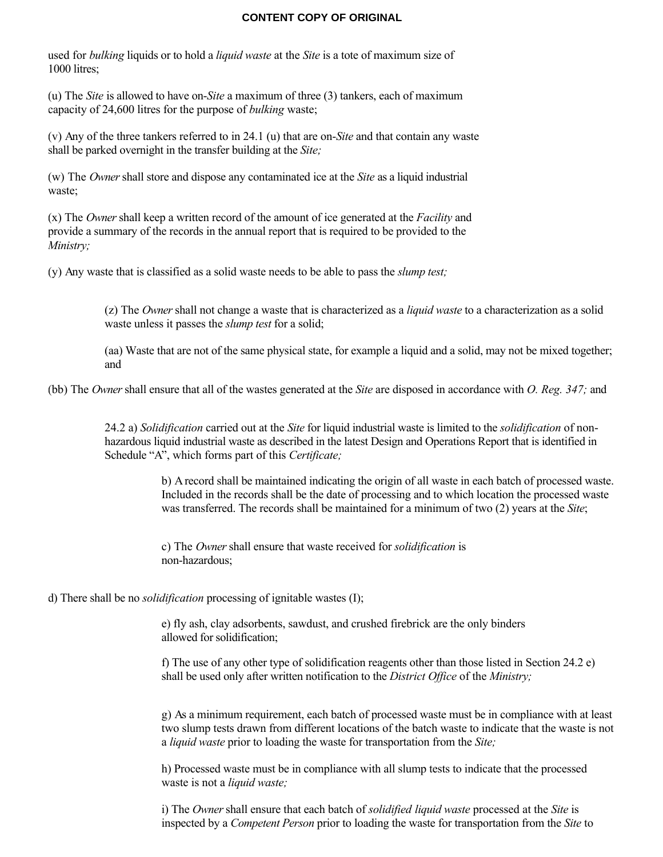used for *bulking* liquids or to hold a *liquid waste* at the *Site* is a tote of maximum size of 1000 litres;

(u) The *Site* is allowed to have on-*Site* a maximum of three (3) tankers, each of maximum capacity of 24,600 litres for the purpose of *bulking* waste;

(v) Any of the three tankers referred to in 24.1 (u) that are on-*Site* and that contain any waste shall be parked overnight in the transfer building at the *Site;*

(w) The *Owner* shall store and dispose any contaminated ice at the *Site* as a liquid industrial waste;

(x) The *Owner* shall keep a written record of the amount of ice generated at the *Facility* and provide a summary of the records in the annual report that is required to be provided to the *Ministry;*

(y) Any waste that is classified as a solid waste needs to be able to pass the *slump test;*

(z) The *Owner* shall not change a waste that is characterized as a *liquid waste* to a characterization as a solid waste unless it passes the *slump test* for a solid;

(aa) Waste that are not of the same physical state, for example a liquid and a solid, may not be mixed together; and

(bb) The *Owner* shall ensure that all of the wastes generated at the *Site* are disposed in accordance with *O. Reg. 347;* and

24.2 a) *Solidification* carried out at the *Site* for liquid industrial waste is limited to the *solidification* of nonhazardous liquid industrial waste as described in the latest Design and Operations Report that is identified in Schedule "A", which forms part of this *Certificate;*

> b) A record shall be maintained indicating the origin of all waste in each batch of processed waste. Included in the records shall be the date of processing and to which location the processed waste was transferred. The records shall be maintained for a minimum of two (2) years at the *Site*;

c) The *Owner* shall ensure that waste received for *solidification* is non-hazardous;

d) There shall be no *solidification* processing of ignitable wastes (I);

e) fly ash, clay adsorbents, sawdust, and crushed firebrick are the only binders allowed for solidification;

f) The use of any other type of solidification reagents other than those listed in Section 24.2 e) shall be used only after written notification to the *District Office* of the *Ministry;*

g) As a minimum requirement, each batch of processed waste must be in compliance with at least two slump tests drawn from different locations of the batch waste to indicate that the waste is not a *liquid waste* prior to loading the waste for transportation from the *Site;*

h) Processed waste must be in compliance with all slump tests to indicate that the processed waste is not a *liquid waste;*

i) The *Owner* shall ensure that each batch of *solidified liquid waste* processed at the *Site* is inspected by a *Competent Person* prior to loading the waste for transportation from the *Site* to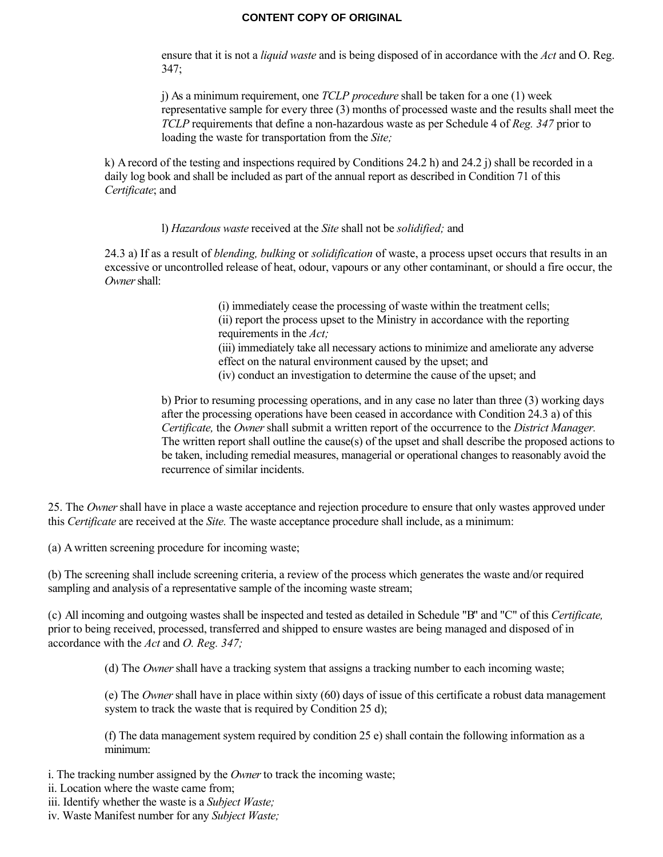ensure that it is not a *liquid waste* and is being disposed of in accordance with the *Act* and O. Reg. 347;

j) As a minimum requirement, one *TCLP procedure* shall be taken for a one (1) week representative sample for every three (3) months of processed waste and the results shall meet the *TCLP* requirements that define a non-hazardous waste as per Schedule 4 of *Reg. 347* prior to loading the waste for transportation from the *Site;*

k) A record of the testing and inspections required by Conditions 24.2 h) and 24.2 j) shall be recorded in a daily log book and shall be included as part of the annual report as described in Condition 71 of this *Certificate*; and

l) *Hazardous waste* received at the *Site* shall not be *solidified;* and

24.3 a) If as a result of *blending, bulking* or *solidification* of waste, a process upset occurs that results in an excessive or uncontrolled release of heat, odour, vapours or any other contaminant, or should a fire occur, the *Owner* shall:

> (i) immediately cease the processing of waste within the treatment cells; (ii) report the process upset to the Ministry in accordance with the reporting requirements in the *Act;* (iii) immediately take all necessary actions to minimize and ameliorate any adverse effect on the natural environment caused by the upset; and (iv) conduct an investigation to determine the cause of the upset; and

b) Prior to resuming processing operations, and in any case no later than three (3) working days after the processing operations have been ceased in accordance with Condition 24.3 a) of this *Certificate,* the *Owner* shall submit a written report of the occurrence to the *District Manager.* The written report shall outline the cause(s) of the upset and shall describe the proposed actions to be taken, including remedial measures, managerial or operational changes to reasonably avoid the recurrence of similar incidents.

25. The *Owner* shall have in place a waste acceptance and rejection procedure to ensure that only wastes approved under this *Certificate* are received at the *Site.* The waste acceptance procedure shall include, as a minimum:

(a) A written screening procedure for incoming waste;

(b) The screening shall include screening criteria, a review of the process which generates the waste and/or required sampling and analysis of a representative sample of the incoming waste stream;

(c) All incoming and outgoing wastes shall be inspected and tested as detailed in Schedule "B" and "C" of this *Certificate,* prior to being received, processed, transferred and shipped to ensure wastes are being managed and disposed of in accordance with the *Act* and *O. Reg. 347;*

(d) The *Owner* shall have a tracking system that assigns a tracking number to each incoming waste;

(e) The *Owner* shall have in place within sixty (60) days of issue of this certificate a robust data management system to track the waste that is required by Condition 25 d);

(f) The data management system required by condition 25 e) shall contain the following information as a minimum:

i. The tracking number assigned by the *Owner* to track the incoming waste;

ii. Location where the waste came from;

iii. Identify whether the waste is a *Subject Waste;*

iv. Waste Manifest number for any *Subject Waste;*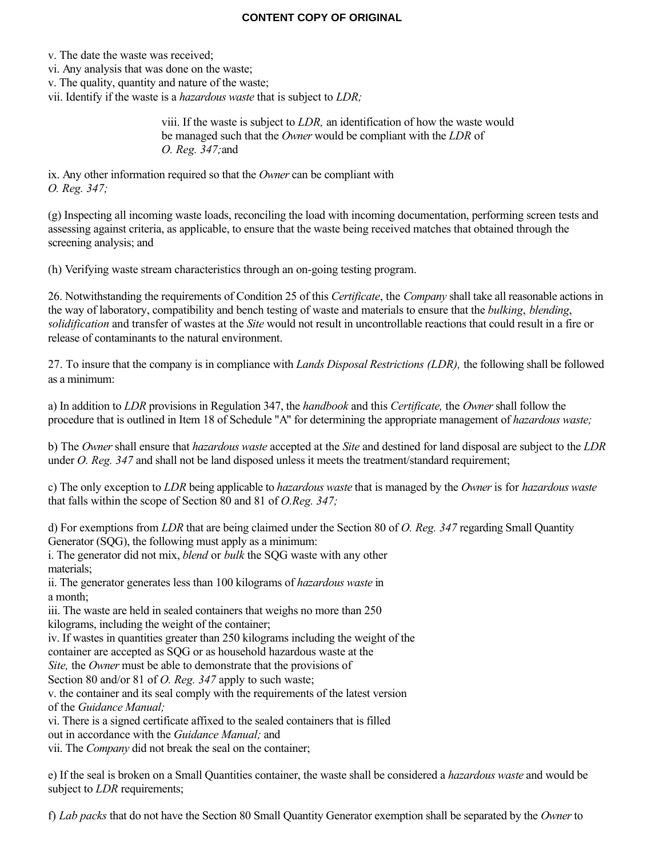v. The date the waste was received;

vi. Any analysis that was done on the waste;

v. The quality, quantity and nature of the waste;

vii. Identify if the waste is a *hazardous waste* that is subject to *LDR;*

viii. If the waste is subject to *LDR,* an identification of how the waste would be managed such that the *Owner* would be compliant with the *LDR* of *O. Reg. 347;*and

ix. Any other information required so that the *Owner* can be compliant with *O. Reg. 347;*

(g) Inspecting all incoming waste loads, reconciling the load with incoming documentation, performing screen tests and assessing against criteria, as applicable, to ensure that the waste being received matches that obtained through the screening analysis; and

(h) Verifying waste stream characteristics through an on-going testing program.

26. Notwithstanding the requirements of Condition 25 of this *Certificate*, the *Company* shall take all reasonable actions in the way of laboratory, compatibility and bench testing of waste and materials to ensure that the *bulking*, *blending*, *solidification* and transfer of wastes at the *Site* would not result in uncontrollable reactions that could result in a fire or release of contaminants to the natural environment.

27. To insure that the company is in compliance with *Lands Disposal Restrictions (LDR),* the following shall be followed as a minimum:

a) In addition to *LDR* provisions in Regulation 347, the *handbook* and this *Certificate,* the *Owner* shall follow the procedure that is outlined in Item 18 of Schedule "A" for determining the appropriate management of *hazardous waste;*

b) The *Owner* shall ensure that *hazardous waste* accepted at the *Site* and destined for land disposal are subject to the *LDR* under *O. Reg. 347* and shall not be land disposed unless it meets the treatment/standard requirement;

c) The only exception to *LDR* being applicable to *hazardous waste* that is managed by the *Owner* is for *hazardous waste* that falls within the scope of Section 80 and 81 of *O.Reg. 347;*

d) For exemptions from *LDR* that are being claimed under the Section 80 of *O. Reg. 347* regarding Small Quantity Generator (SQG), the following must apply as a minimum:

i. The generator did not mix, *blend* or *bulk* the SQG waste with any other materials;

ii. The generator generates less than 100 kilograms of *hazardous waste* in a month;

iii. The waste are held in sealed containers that weighs no more than 250 kilograms, including the weight of the container;

iv. If wastes in quantities greater than 250 kilograms including the weight of the

container are accepted as SQG or as household hazardous waste at the

*Site,* the *Owner* must be able to demonstrate that the provisions of

Section 80 and/or 81 of *O. Reg. 347* apply to such waste;

v. the container and its seal comply with the requirements of the latest version of the *Guidance Manual;*

vi. There is a signed certificate affixed to the sealed containers that is filled

out in accordance with the *Guidance Manual;* and

vii. The *Company* did not break the seal on the container;

e) If the seal is broken on a Small Quantities container, the waste shall be considered a *hazardous waste* and would be subject to *LDR* requirements;

f) *Lab packs* that do not have the Section 80 Small Quantity Generator exemption shall be separated by the *Owner* to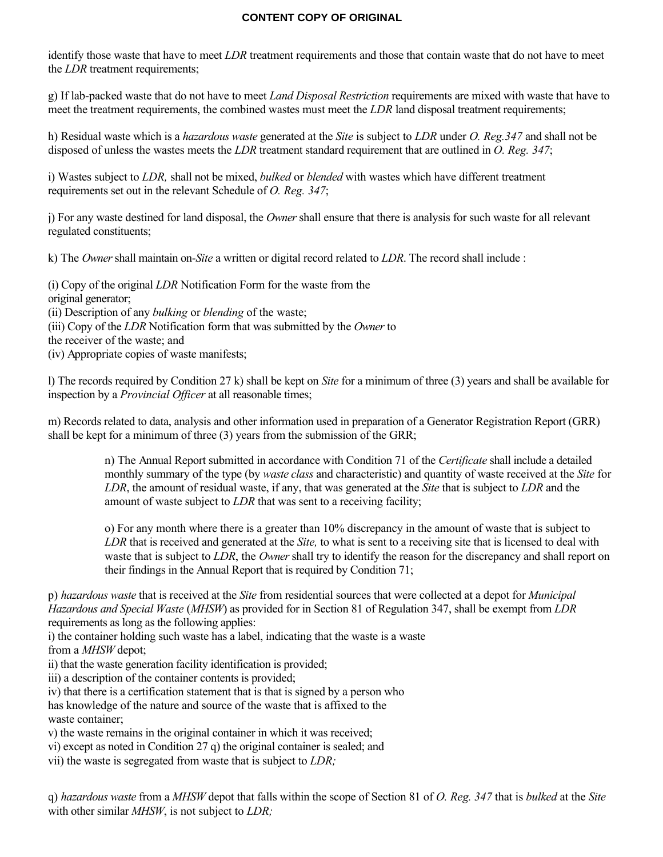identify those waste that have to meet *LDR* treatment requirements and those that contain waste that do not have to meet the *LDR* treatment requirements;

g) If lab-packed waste that do not have to meet *Land Disposal Restriction* requirements are mixed with waste that have to meet the treatment requirements, the combined wastes must meet the *LDR* land disposal treatment requirements;

h) Residual waste which is a *hazardous waste* generated at the *Site* is subject to *LDR* under *O. Reg.347* and shall not be disposed of unless the wastes meets the *LDR* treatment standard requirement that are outlined in *O. Reg. 347*;

i) Wastes subject to *LDR,* shall not be mixed, *bulked* or *blended* with wastes which have different treatment requirements set out in the relevant Schedule of *O. Reg. 347*;

j) For any waste destined for land disposal, the *Owner* shall ensure that there is analysis for such waste for all relevant regulated constituents;

k) The *Owner* shall maintain on-*Site* a written or digital record related to *LDR*. The record shall include :

(i) Copy of the original *LDR* Notification Form for the waste from the original generator; (ii) Description of any *bulking* or *blending* of the waste; (iii) Copy of the *LDR* Notification form that was submitted by the *Owner* to the receiver of the waste; and (iv) Appropriate copies of waste manifests;

l) The records required by Condition 27 k) shall be kept on *Site* for a minimum of three (3) years and shall be available for inspection by a *Provincial Officer* at all reasonable times;

m) Records related to data, analysis and other information used in preparation of a Generator Registration Report (GRR) shall be kept for a minimum of three (3) years from the submission of the GRR;

> n) The Annual Report submitted in accordance with Condition 71 of the *Certificate* shall include a detailed monthly summary of the type (by *waste class* and characteristic) and quantity of waste received at the *Site* for *LDR*, the amount of residual waste, if any, that was generated at the *Site* that is subject to *LDR* and the amount of waste subject to *LDR* that was sent to a receiving facility;

> o) For any month where there is a greater than 10% discrepancy in the amount of waste that is subject to *LDR* that is received and generated at the *Site,* to what is sent to a receiving site that is licensed to deal with waste that is subject to *LDR*, the *Owner* shall try to identify the reason for the discrepancy and shall report on their findings in the Annual Report that is required by Condition 71;

p) *hazardous waste* that is received at the *Site* from residential sources that were collected at a depot for *Municipal Hazardous and Special Waste* (*MHSW*) as provided for in Section 81 of Regulation 347, shall be exempt from *LDR* requirements as long as the following applies:

i) the container holding such waste has a label, indicating that the waste is a waste

from a *MHSW* depot;

ii) that the waste generation facility identification is provided;

iii) a description of the container contents is provided;

iv) that there is a certification statement that is that is signed by a person who

has knowledge of the nature and source of the waste that is affixed to the waste container;

v) the waste remains in the original container in which it was received;

vi) except as noted in Condition 27 q) the original container is sealed; and

vii) the waste is segregated from waste that is subject to *LDR;*

q) *hazardous waste* from a *MHSW* depot that falls within the scope of Section 81 of *O. Reg. 347* that is *bulked* at the *Site* with other similar *MHSW*, is not subject to *LDR;*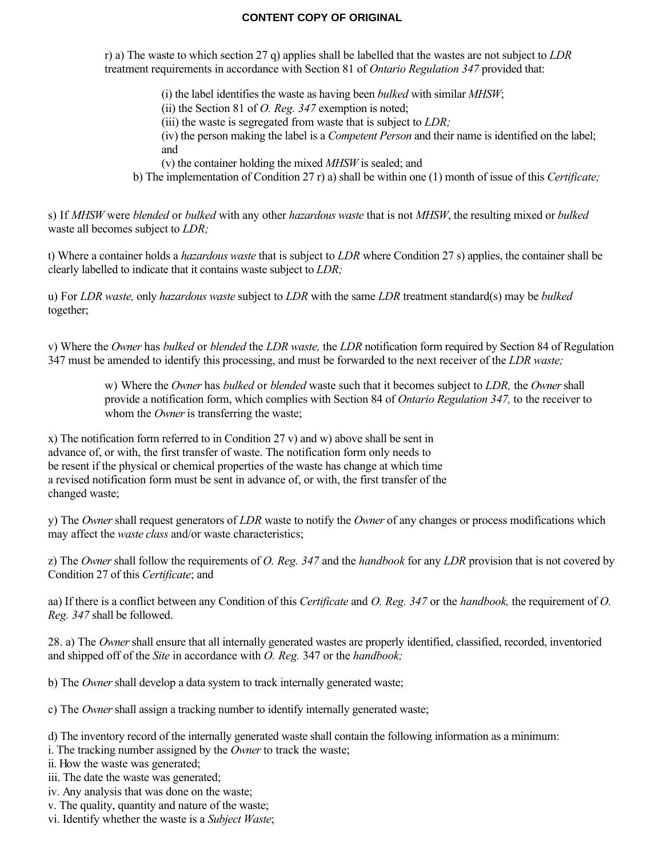r) a) The waste to which section 27 q) applies shall be labelled that the wastes are not subject to *LDR* treatment requirements in accordance with Section 81 of *Ontario Regulation 347* provided that:

(i) the label identifies the waste as having been *bulked* with similar *MHSW*;

(ii) the Section 81 of *O. Reg. 347* exemption is noted;

(iii) the waste is segregated from waste that is subject to *LDR;*

(iv) the person making the label is a *Competent Person* and their name is identified on the label; and

(v) the container holding the mixed *MHSW* is sealed; and

b) The implementation of Condition 27 r) a) shall be within one (1) month of issue of this *Certificate;*

s) If *MHSW* were *blended* or *bulked* with any other *hazardous waste* that is not *MHSW*, the resulting mixed or *bulked* waste all becomes subject to *LDR;*

t) Where a container holds a *hazardous waste* that is subject to *LDR* where Condition 27 s) applies, the container shall be clearly labelled to indicate that it contains waste subject to *LDR;*

u) For *LDR waste,* only *hazardous waste* subject to *LDR* with the same *LDR* treatment standard(s) may be *bulked* together;

v) Where the *Owner* has *bulked* or *blended* the *LDR waste,* the *LDR* notification form required by Section 84 of Regulation 347 must be amended to identify this processing, and must be forwarded to the next receiver of the *LDR waste;*

w) Where the *Owner* has *bulked* or *blended* waste such that it becomes subject to *LDR,* the *Owner* shall provide a notification form, which complies with Section 84 of *Ontario Regulation 347,* to the receiver to whom the *Owner* is transferring the waste;

x) The notification form referred to in Condition 27 v) and w) above shall be sent in advance of, or with, the first transfer of waste. The notification form only needs to be resent if the physical or chemical properties of the waste has change at which time a revised notification form must be sent in advance of, or with, the first transfer of the changed waste;

y) The *Owner* shall request generators of *LDR* waste to notify the *Owner* of any changes or process modifications which may affect the *waste class* and/or waste characteristics;

z) The *Owner* shall follow the requirements of *O. Reg. 347* and the *handbook* for any *LDR* provision that is not covered by Condition 27 of this *Certificate*; and

aa) If there is a conflict between any Condition of this *Certificate* and *O. Reg. 347* or the *handbook,* the requirement of *O. Reg. 347* shall be followed.

28. a) The *Owner* shall ensure that all internally generated wastes are properly identified, classified, recorded, inventoried and shipped off of the *Site* in accordance with *O. Reg.* 347 or the *handbook;*

b) The *Owner* shall develop a data system to track internally generated waste;

c) The *Owner* shall assign a tracking number to identify internally generated waste;

d) The inventory record of the internally generated waste shall contain the following information as a minimum:

i. The tracking number assigned by the *Owner* to track the waste;

ii. How the waste was generated;

iii. The date the waste was generated;

iv. Any analysis that was done on the waste;

v. The quality, quantity and nature of the waste;

vi. Identify whether the waste is a *Subject Waste*;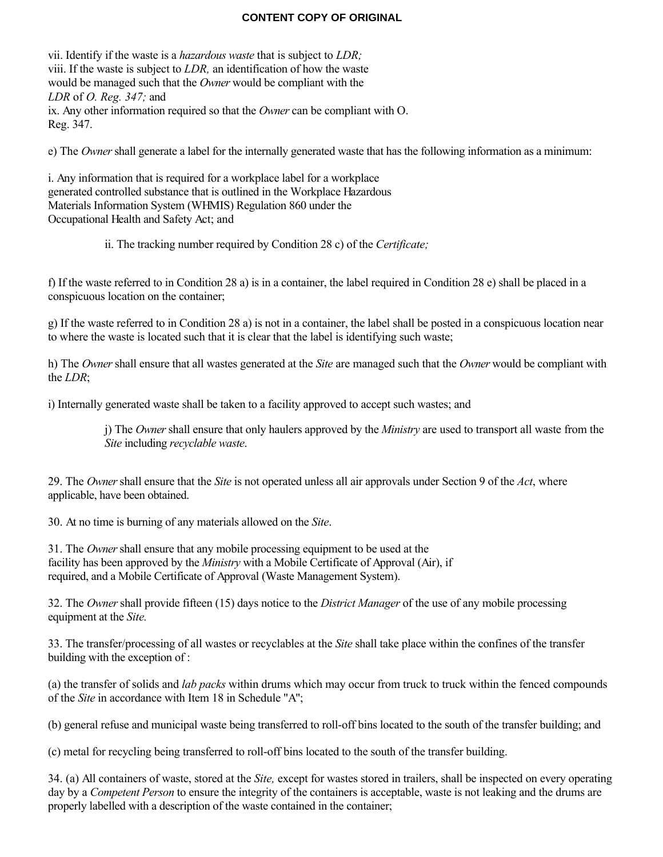vii. Identify if the waste is a *hazardous waste* that is subject to *LDR;* viii. If the waste is subject to *LDR,* an identification of how the waste would be managed such that the *Owner* would be compliant with the *LDR* of *O. Reg. 347;* and ix. Any other information required so that the *Owner* can be compliant with O. Reg. 347.

e) The *Owner* shall generate a label for the internally generated waste that has the following information as a minimum:

i. Any information that is required for a workplace label for a workplace generated controlled substance that is outlined in the Workplace Hazardous Materials Information System (WHMIS) Regulation 860 under the Occupational Health and Safety Act; and

ii. The tracking number required by Condition 28 c) of the *Certificate;*

f) If the waste referred to in Condition 28 a) is in a container, the label required in Condition 28 e) shall be placed in a conspicuous location on the container;

g) If the waste referred to in Condition 28 a) is not in a container, the label shall be posted in a conspicuous location near to where the waste is located such that it is clear that the label is identifying such waste;

h) The *Owner* shall ensure that all wastes generated at the *Site* are managed such that the *Owner* would be compliant with the *LDR*;

i) Internally generated waste shall be taken to a facility approved to accept such wastes; and

j) The *Owner* shall ensure that only haulers approved by the *Ministry* are used to transport all waste from the *Site* including *recyclable waste*.

29. The *Owner* shall ensure that the *Site* is not operated unless all air approvals under Section 9 of the *Act*, where applicable, have been obtained.

30. At no time is burning of any materials allowed on the *Site*.

31. The *Owner* shall ensure that any mobile processing equipment to be used at the facility has been approved by the *Ministry* with a Mobile Certificate of Approval (Air), if required, and a Mobile Certificate of Approval (Waste Management System).

32. The *Owner* shall provide fifteen (15) days notice to the *District Manager* of the use of any mobile processing equipment at the *Site.*

33. The transfer/processing of all wastes or recyclables at the *Site* shall take place within the confines of the transfer building with the exception of :

(a) the transfer of solids and *lab packs* within drums which may occur from truck to truck within the fenced compounds of the *Site* in accordance with Item 18 in Schedule "A";

(b) general refuse and municipal waste being transferred to roll-off bins located to the south of the transfer building; and

(c) metal for recycling being transferred to roll-off bins located to the south of the transfer building.

34. (a) All containers of waste, stored at the *Site,* except for wastes stored in trailers, shall be inspected on every operating day by a *Competent Person* to ensure the integrity of the containers is acceptable, waste is not leaking and the drums are properly labelled with a description of the waste contained in the container;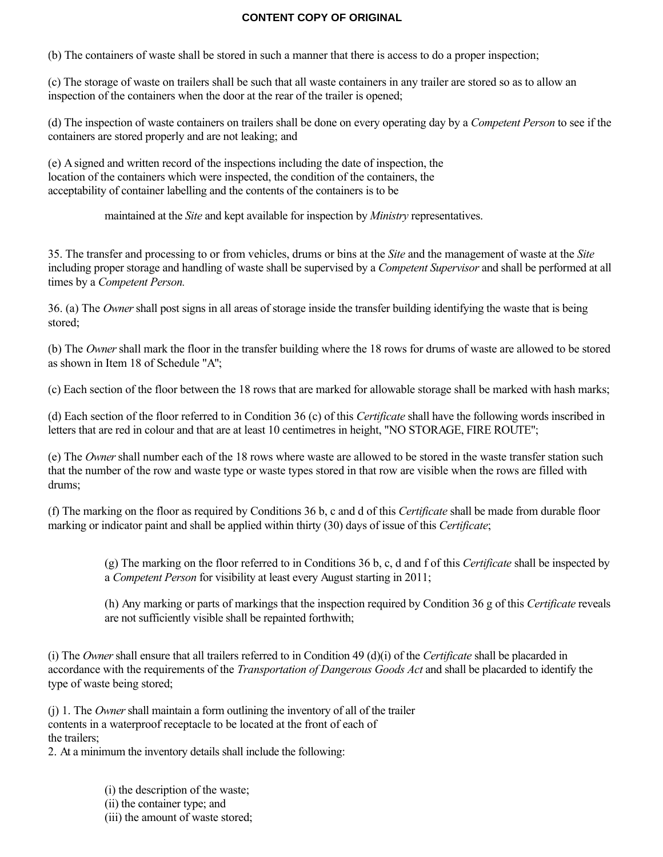(b) The containers of waste shall be stored in such a manner that there is access to do a proper inspection;

(c) The storage of waste on trailers shall be such that all waste containers in any trailer are stored so as to allow an inspection of the containers when the door at the rear of the trailer is opened;

(d) The inspection of waste containers on trailers shall be done on every operating day by a *Competent Person* to see if the containers are stored properly and are not leaking; and

(e) A signed and written record of the inspections including the date of inspection, the location of the containers which were inspected, the condition of the containers, the acceptability of container labelling and the contents of the containers is to be

maintained at the *Site* and kept available for inspection by *Ministry* representatives.

35. The transfer and processing to or from vehicles, drums or bins at the *Site* and the management of waste at the *Site* including proper storage and handling of waste shall be supervised by a *Competent Supervisor* and shall be performed at all times by a *Competent Person.*

36. (a) The *Owner* shall post signs in all areas of storage inside the transfer building identifying the waste that is being stored;

(b) The *Owner* shall mark the floor in the transfer building where the 18 rows for drums of waste are allowed to be stored as shown in Item 18 of Schedule "A";

(c) Each section of the floor between the 18 rows that are marked for allowable storage shall be marked with hash marks;

(d) Each section of the floor referred to in Condition 36 (c) of this *Certificate* shall have the following words inscribed in letters that are red in colour and that are at least 10 centimetres in height, "NO STORAGE, FIRE ROUTE";

(e) The *Owner* shall number each of the 18 rows where waste are allowed to be stored in the waste transfer station such that the number of the row and waste type or waste types stored in that row are visible when the rows are filled with drums;

(f) The marking on the floor as required by Conditions 36 b, c and d of this *Certificate* shall be made from durable floor marking or indicator paint and shall be applied within thirty (30) days of issue of this *Certificate*;

(g) The marking on the floor referred to in Conditions 36 b, c, d and f of this *Certificate* shall be inspected by a *Competent Person* for visibility at least every August starting in 2011;

(h) Any marking or parts of markings that the inspection required by Condition 36 g of this *Certificate* reveals are not sufficiently visible shall be repainted forthwith;

(i) The *Owner* shall ensure that all trailers referred to in Condition 49 (d)(i) of the *Certificate* shall be placarded in accordance with the requirements of the *Transportation of Dangerous Goods Act* and shall be placarded to identify the type of waste being stored;

(j) 1. The *Owner* shall maintain a form outlining the inventory of all of the trailer contents in a waterproof receptacle to be located at the front of each of the trailers;

2. At a minimum the inventory details shall include the following:

- (i) the description of the waste; (ii) the container type; and
- (iii) the amount of waste stored;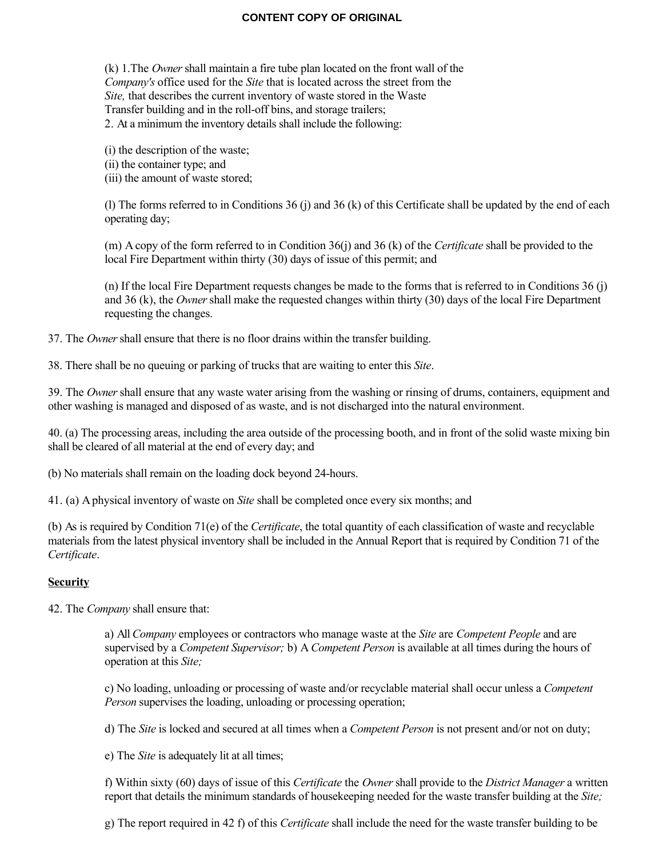(k) 1.The *Owner* shall maintain a fire tube plan located on the front wall of the *Company's* office used for the *Site* that is located across the street from the *Site,* that describes the current inventory of waste stored in the Waste Transfer building and in the roll-off bins, and storage trailers; 2. At a minimum the inventory details shall include the following:

(i) the description of the waste; (ii) the container type; and (iii) the amount of waste stored;

(l) The forms referred to in Conditions 36 (j) and 36 (k) of this Certificate shall be updated by the end of each operating day;

(m) A copy of the form referred to in Condition 36(j) and 36 (k) of the *Certificate* shall be provided to the local Fire Department within thirty (30) days of issue of this permit; and

(n) If the local Fire Department requests changes be made to the forms that is referred to in Conditions 36 (j) and 36 (k), the *Owner* shall make the requested changes within thirty (30) days of the local Fire Department requesting the changes.

37. The *Owner* shall ensure that there is no floor drains within the transfer building.

38. There shall be no queuing or parking of trucks that are waiting to enter this *Site*.

39. The *Owner* shall ensure that any waste water arising from the washing or rinsing of drums, containers, equipment and other washing is managed and disposed of as waste, and is not discharged into the natural environment.

40. (a) The processing areas, including the area outside of the processing booth, and in front of the solid waste mixing bin shall be cleared of all material at the end of every day; and

(b) No materials shall remain on the loading dock beyond 24-hours.

41. (a) A physical inventory of waste on *Site* shall be completed once every six months; and

(b) As is required by Condition 71(e) of the *Certificate*, the total quantity of each classification of waste and recyclable materials from the latest physical inventory shall be included in the Annual Report that is required by Condition 71 of the *Certificate*.

#### **Security**

42. The *Company* shall ensure that:

a) All *Company* employees or contractors who manage waste at the *Site* are *Competent People* and are supervised by a *Competent Supervisor;* b) A *Competent Person* is available at all times during the hours of operation at this *Site;*

c) No loading, unloading or processing of waste and/or recyclable material shall occur unless a *Competent Person* supervises the loading, unloading or processing operation;

d) The *Site* is locked and secured at all times when a *Competent Person* is not present and/or not on duty;

e) The *Site* is adequately lit at all times;

f) Within sixty (60) days of issue of this *Certificate* the *Owner* shall provide to the *District Manager* a written report that details the minimum standards of housekeeping needed for the waste transfer building at the *Site;*

g) The report required in 42 f) of this *Certificate* shall include the need for the waste transfer building to be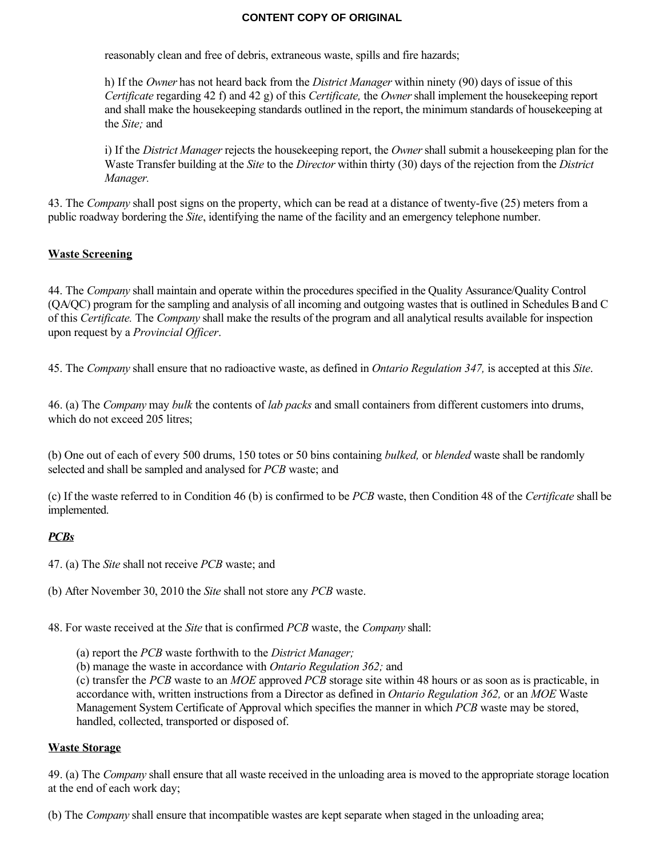reasonably clean and free of debris, extraneous waste, spills and fire hazards;

h) If the *Owner* has not heard back from the *District Manager* within ninety (90) days of issue of this *Certificate* regarding 42 f) and 42 g) of this *Certificate,* the *Owner* shall implement the housekeeping report and shall make the housekeeping standards outlined in the report, the minimum standards of housekeeping at the *Site;* and

i) If the *District Manager* rejects the housekeeping report, the *Owner* shall submit a housekeeping plan for the Waste Transfer building at the *Site* to the *Director* within thirty (30) days of the rejection from the *District Manager.*

43. The *Company* shall post signs on the property, which can be read at a distance of twenty-five (25) meters from a public roadway bordering the *Site*, identifying the name of the facility and an emergency telephone number.

## **Waste Screening**

44. The *Company* shall maintain and operate within the procedures specified in the Quality Assurance/Quality Control (QA/QC) program for the sampling and analysis of all incoming and outgoing wastes that is outlined in Schedules B and C of this *Certificate.* The *Company* shall make the results of the program and all analytical results available for inspection upon request by a *Provincial Officer*.

45. The *Company* shall ensure that no radioactive waste, as defined in *Ontario Regulation 347,* is accepted at this *Site*.

46. (a) The *Company* may *bulk* the contents of *lab packs* and small containers from different customers into drums, which do not exceed 205 litres;

(b) One out of each of every 500 drums, 150 totes or 50 bins containing *bulked,* or *blended* waste shall be randomly selected and shall be sampled and analysed for *PCB* waste; and

(c) If the waste referred to in Condition 46 (b) is confirmed to be *PCB* waste, then Condition 48 of the *Certificate* shall be implemented.

## *PCBs*

47. (a) The *Site* shall not receive *PCB* waste; and

(b) After November 30, 2010 the *Site* shall not store any *PCB* waste.

48. For waste received at the *Site* that is confirmed *PCB* waste, the *Company* shall:

(a) report the *PCB* waste forthwith to the *District Manager;*

(b) manage the waste in accordance with *Ontario Regulation 362;* and

(c) transfer the *PCB* waste to an *MOE* approved *PCB* storage site within 48 hours or as soon as is practicable, in accordance with, written instructions from a Director as defined in *Ontario Regulation 362,* or an *MOE* Waste Management System Certificate of Approval which specifies the manner in which *PCB* waste may be stored, handled, collected, transported or disposed of.

## **Waste Storage**

49. (a) The *Company* shall ensure that all waste received in the unloading area is moved to the appropriate storage location at the end of each work day;

(b) The *Company* shall ensure that incompatible wastes are kept separate when staged in the unloading area;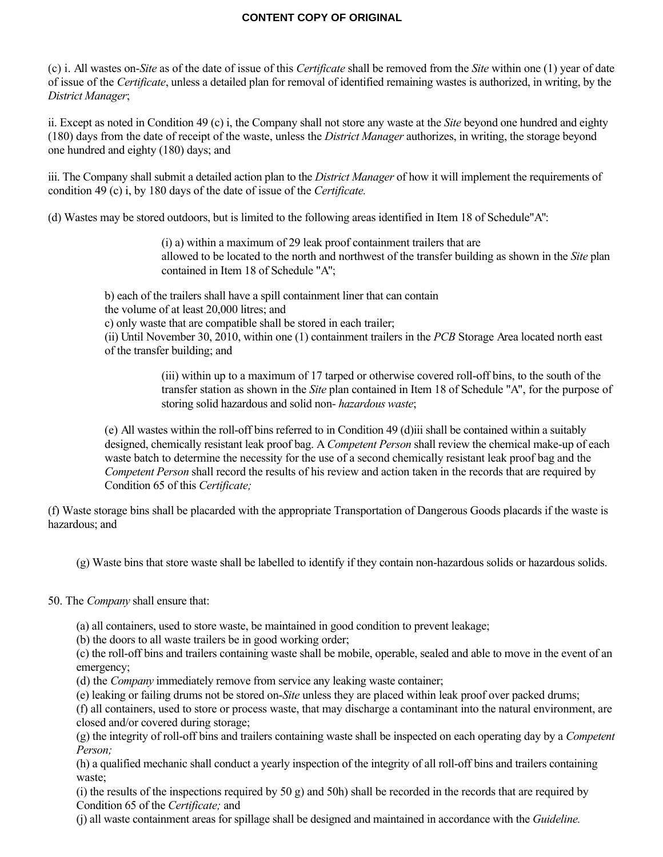(c) i. All wastes on-*Site* as of the date of issue of this *Certificate* shall be removed from the *Site* within one (1) year of date of issue of the *Certificate*, unless a detailed plan for removal of identified remaining wastes is authorized, in writing, by the *District Manager*;

ii. Except as noted in Condition 49 (c) i, the Company shall not store any waste at the *Site* beyond one hundred and eighty (180) days from the date of receipt of the waste, unless the *District Manager* authorizes, in writing, the storage beyond one hundred and eighty (180) days; and

iii. The Company shall submit a detailed action plan to the *District Manager* of how it will implement the requirements of condition 49 (c) i, by 180 days of the date of issue of the *Certificate.*

(d) Wastes may be stored outdoors, but is limited to the following areas identified in Item 18 of Schedule"A":

(i) a) within a maximum of 29 leak proof containment trailers that are allowed to be located to the north and northwest of the transfer building as shown in the *Site* plan contained in Item 18 of Schedule "A";

b) each of the trailers shall have a spill containment liner that can contain the volume of at least 20,000 litres; and c) only waste that are compatible shall be stored in each trailer; (ii) Until November 30, 2010, within one (1) containment trailers in the *PCB* Storage Area located north east of the transfer building; and

> (iii) within up to a maximum of 17 tarped or otherwise covered roll-off bins, to the south of the transfer station as shown in the *Site* plan contained in Item 18 of Schedule "A", for the purpose of storing solid hazardous and solid non- *hazardous waste*;

(e) All wastes within the roll-off bins referred to in Condition 49 (d)iii shall be contained within a suitably designed, chemically resistant leak proof bag. A *Competent Person* shall review the chemical make-up of each waste batch to determine the necessity for the use of a second chemically resistant leak proof bag and the *Competent Person* shall record the results of his review and action taken in the records that are required by Condition 65 of this *Certificate;*

(f) Waste storage bins shall be placarded with the appropriate Transportation of Dangerous Goods placards if the waste is hazardous; and

(g) Waste bins that store waste shall be labelled to identify if they contain non-hazardous solids or hazardous solids.

50. The *Company* shall ensure that:

(a) all containers, used to store waste, be maintained in good condition to prevent leakage;

(b) the doors to all waste trailers be in good working order;

(c) the roll-off bins and trailers containing waste shall be mobile, operable, sealed and able to move in the event of an emergency;

(d) the *Company* immediately remove from service any leaking waste container;

(e) leaking or failing drums not be stored on-*Site* unless they are placed within leak proof over packed drums;

(f) all containers, used to store or process waste, that may discharge a contaminant into the natural environment, are closed and/or covered during storage;

(g) the integrity of roll-off bins and trailers containing waste shall be inspected on each operating day by a *Competent Person;*

(h) a qualified mechanic shall conduct a yearly inspection of the integrity of all roll-off bins and trailers containing waste;

(i) the results of the inspections required by 50 g) and 50h) shall be recorded in the records that are required by Condition 65 of the *Certificate;* and

(j) all waste containment areas for spillage shall be designed and maintained in accordance with the *Guideline.*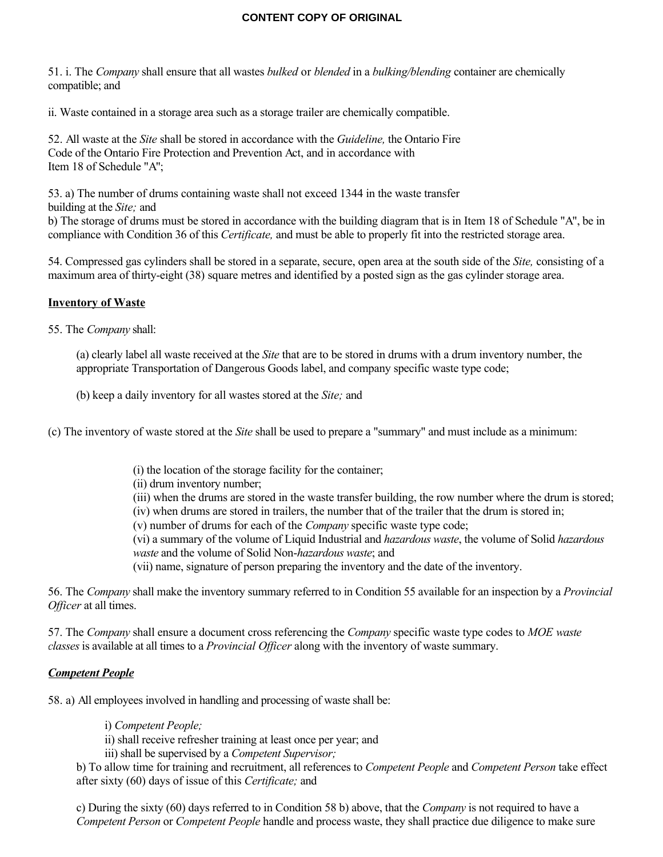51. i. The *Company* shall ensure that all wastes *bulked* or *blended* in a *bulking/blending* container are chemically compatible; and

ii. Waste contained in a storage area such as a storage trailer are chemically compatible.

52. All waste at the *Site* shall be stored in accordance with the *Guideline,* the Ontario Fire Code of the Ontario Fire Protection and Prevention Act, and in accordance with Item 18 of Schedule "A";

53. a) The number of drums containing waste shall not exceed 1344 in the waste transfer building at the *Site;* and

b) The storage of drums must be stored in accordance with the building diagram that is in Item 18 of Schedule "A", be in compliance with Condition 36 of this *Certificate,* and must be able to properly fit into the restricted storage area.

54. Compressed gas cylinders shall be stored in a separate, secure, open area at the south side of the *Site,* consisting of a maximum area of thirty-eight (38) square metres and identified by a posted sign as the gas cylinder storage area.

## **Inventory of Waste**

55. The *Company* shall:

(a) clearly label all waste received at the *Site* that are to be stored in drums with a drum inventory number, the appropriate Transportation of Dangerous Goods label, and company specific waste type code;

(b) keep a daily inventory for all wastes stored at the *Site;* and

(c) The inventory of waste stored at the *Site* shall be used to prepare a "summary" and must include as a minimum:

- (i) the location of the storage facility for the container;
- (ii) drum inventory number;
- (iii) when the drums are stored in the waste transfer building, the row number where the drum is stored;
- (iv) when drums are stored in trailers, the number that of the trailer that the drum is stored in;
- (v) number of drums for each of the *Company* specific waste type code;
- (vi) a summary of the volume of Liquid Industrial and *hazardous waste*, the volume of Solid *hazardous waste* and the volume of Solid Non-*hazardous waste*; and
- (vii) name, signature of person preparing the inventory and the date of the inventory.

56. The *Company* shall make the inventory summary referred to in Condition 55 available for an inspection by a *Provincial Officer* at all times.

57. The *Company* shall ensure a document cross referencing the *Company* specific waste type codes to *MOE waste classes* is available at all times to a *Provincial Officer* along with the inventory of waste summary.

# *Competent People*

58. a) All employees involved in handling and processing of waste shall be:

i) *Competent People;*

ii) shall receive refresher training at least once per year; and

iii) shall be supervised by a *Competent Supervisor;*

b) To allow time for training and recruitment, all references to *Competent People* and *Competent Person* take effect after sixty (60) days of issue of this *Certificate;* and

c) During the sixty (60) days referred to in Condition 58 b) above, that the *Company* is not required to have a *Competent Person* or *Competent People* handle and process waste, they shall practice due diligence to make sure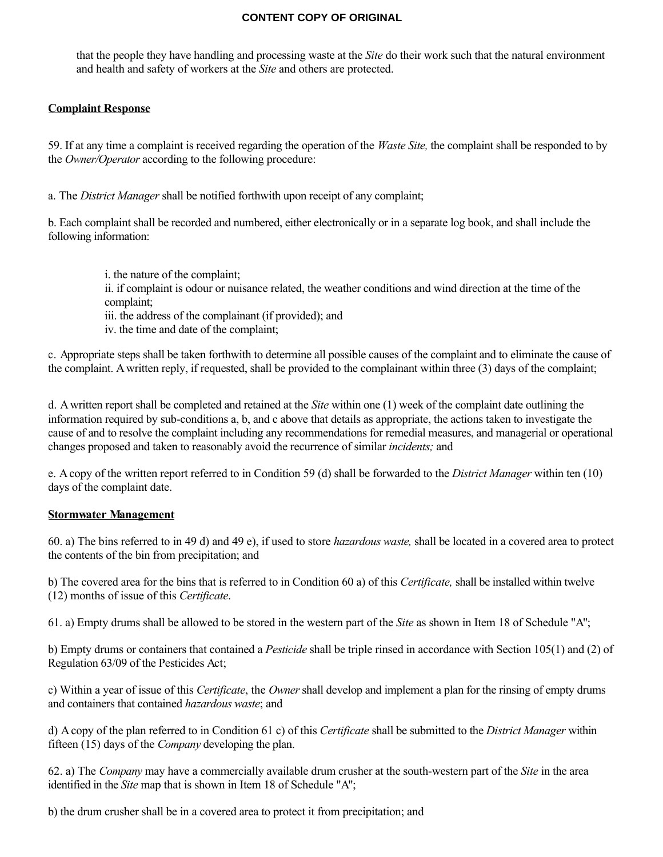that the people they have handling and processing waste at the *Site* do their work such that the natural environment and health and safety of workers at the *Site* and others are protected.

## **Complaint Response**

59. If at any time a complaint is received regarding the operation of the *Waste Site,* the complaint shall be responded to by the *Owner/Operator* according to the following procedure:

a. The *District Manager* shall be notified forthwith upon receipt of any complaint;

b. Each complaint shall be recorded and numbered, either electronically or in a separate log book, and shall include the following information:

i. the nature of the complaint;

ii. if complaint is odour or nuisance related, the weather conditions and wind direction at the time of the complaint;

iii. the address of the complainant (if provided); and

iv. the time and date of the complaint;

c. Appropriate steps shall be taken forthwith to determine all possible causes of the complaint and to eliminate the cause of the complaint. A written reply, if requested, shall be provided to the complainant within three (3) days of the complaint;

d. A written report shall be completed and retained at the *Site* within one (1) week of the complaint date outlining the information required by sub-conditions a, b, and c above that details as appropriate, the actions taken to investigate the cause of and to resolve the complaint including any recommendations for remedial measures, and managerial or operational changes proposed and taken to reasonably avoid the recurrence of similar *incidents;* and

e. A copy of the written report referred to in Condition 59 (d) shall be forwarded to the *District Manager* within ten (10) days of the complaint date.

## **Stormwater Management**

60. a) The bins referred to in 49 d) and 49 e), if used to store *hazardous waste,* shall be located in a covered area to protect the contents of the bin from precipitation; and

b) The covered area for the bins that is referred to in Condition 60 a) of this *Certificate,* shall be installed within twelve (12) months of issue of this *Certificate*.

61. a) Empty drums shall be allowed to be stored in the western part of the *Site* as shown in Item 18 of Schedule "A";

b) Empty drums or containers that contained a *Pesticide* shall be triple rinsed in accordance with Section 105(1) and (2) of Regulation 63/09 of the Pesticides Act;

c) Within a year of issue of this *Certificate*, the *Owner* shall develop and implement a plan for the rinsing of empty drums and containers that contained *hazardous waste*; and

d) A copy of the plan referred to in Condition 61 c) of this *Certificate* shall be submitted to the *District Manager* within fifteen (15) days of the *Company* developing the plan.

62. a) The *Company* may have a commercially available drum crusher at the south-western part of the *Site* in the area identified in the *Site* map that is shown in Item 18 of Schedule "A";

b) the drum crusher shall be in a covered area to protect it from precipitation; and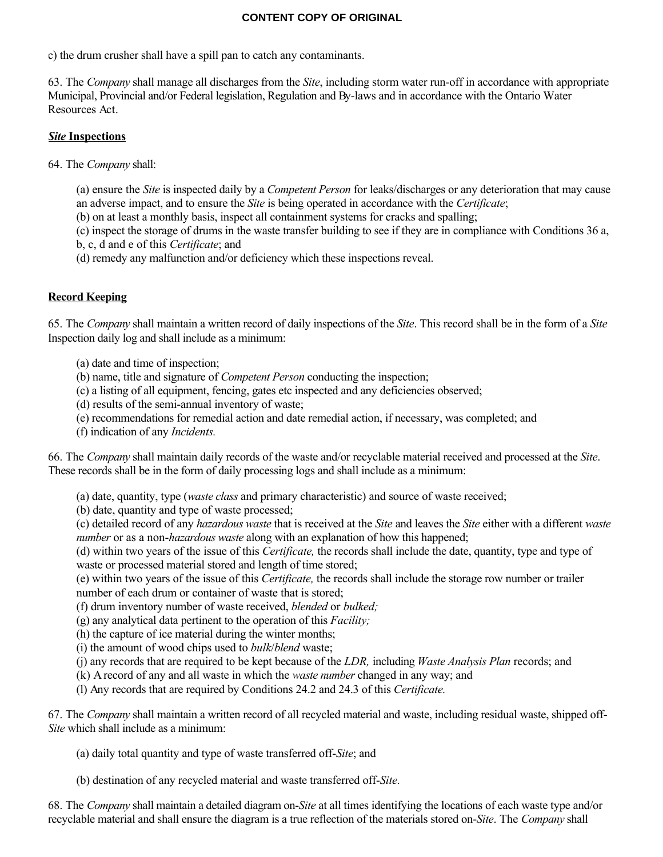c) the drum crusher shall have a spill pan to catch any contaminants.

63. The *Company* shall manage all discharges from the *Site*, including storm water run-off in accordance with appropriate Municipal, Provincial and/or Federal legislation, Regulation and By-laws and in accordance with the Ontario Water Resources Act.

# *Site* **Inspections**

64. The *Company* shall:

(a) ensure the *Site* is inspected daily by a *Competent Person* for leaks/discharges or any deterioration that may cause an adverse impact, and to ensure the *Site* is being operated in accordance with the *Certificate*;

(b) on at least a monthly basis, inspect all containment systems for cracks and spalling;

(c) inspect the storage of drums in the waste transfer building to see if they are in compliance with Conditions 36 a, b, c, d and e of this *Certificate*; and

(d) remedy any malfunction and/or deficiency which these inspections reveal.

# **Record Keeping**

65. The *Company* shall maintain a written record of daily inspections of the *Site*. This record shall be in the form of a *Site* Inspection daily log and shall include as a minimum:

(a) date and time of inspection;

(b) name, title and signature of *Competent Person* conducting the inspection;

- (c) a listing of all equipment, fencing, gates etc inspected and any deficiencies observed;
- (d) results of the semi-annual inventory of waste;
- (e) recommendations for remedial action and date remedial action, if necessary, was completed; and
- (f) indication of any *Incidents.*

66. The *Company* shall maintain daily records of the waste and/or recyclable material received and processed at the *Site*. These records shall be in the form of daily processing logs and shall include as a minimum:

(a) date, quantity, type (*waste class* and primary characteristic) and source of waste received;

(b) date, quantity and type of waste processed;

(c) detailed record of any *hazardous waste* that is received at the *Site* and leaves the *Site* either with a different *waste number* or as a non-*hazardous waste* along with an explanation of how this happened;

(d) within two years of the issue of this *Certificate,* the records shall include the date, quantity, type and type of waste or processed material stored and length of time stored;

(e) within two years of the issue of this *Certificate,* the records shall include the storage row number or trailer number of each drum or container of waste that is stored;

(f) drum inventory number of waste received, *blended* or *bulked;*

(g) any analytical data pertinent to the operation of this *Facility;*

(h) the capture of ice material during the winter months;

(i) the amount of wood chips used to *bulk*/*blend* waste;

(j) any records that are required to be kept because of the *LDR,* including *Waste Analysis Plan* records; and

(k) A record of any and all waste in which the *waste number* changed in any way; and

(l) Any records that are required by Conditions 24.2 and 24.3 of this *Certificate.*

67. The *Company* shall maintain a written record of all recycled material and waste, including residual waste, shipped off-*Site* which shall include as a minimum:

(a) daily total quantity and type of waste transferred off-*Site*; and

(b) destination of any recycled material and waste transferred off-*Site.*

68. The *Company* shall maintain a detailed diagram on-*Site* at all times identifying the locations of each waste type and/or recyclable material and shall ensure the diagram is a true reflection of the materials stored on-*Site*. The *Company* shall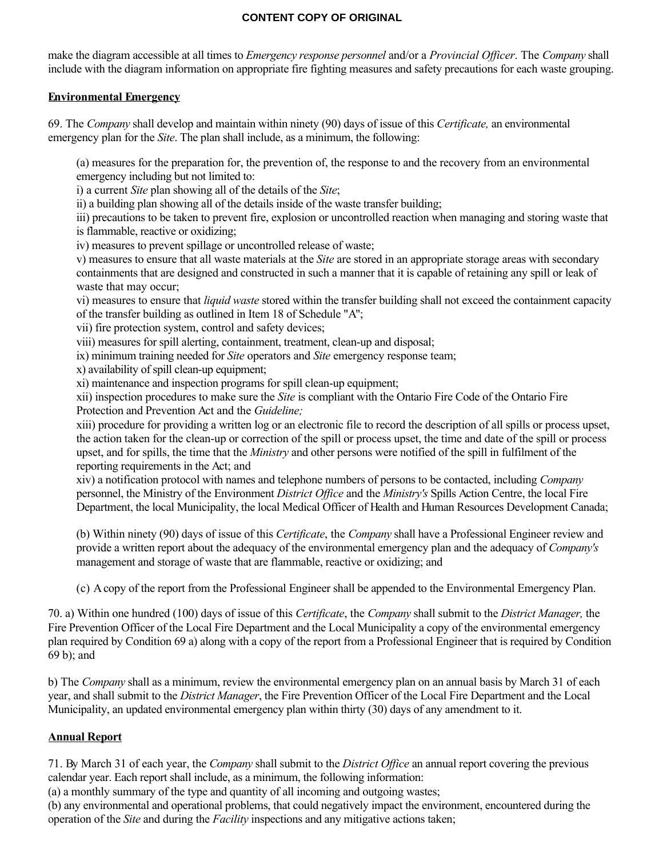make the diagram accessible at all times to *Emergency response personnel* and/or a *Provincial Officer*. The *Company* shall include with the diagram information on appropriate fire fighting measures and safety precautions for each waste grouping.

## **Environmental Emergency**

69. The *Company* shall develop and maintain within ninety (90) days of issue of this *Certificate,* an environmental emergency plan for the *Site*. The plan shall include, as a minimum, the following:

(a) measures for the preparation for, the prevention of, the response to and the recovery from an environmental emergency including but not limited to:

i) a current *Site* plan showing all of the details of the *Site*;

ii) a building plan showing all of the details inside of the waste transfer building;

iii) precautions to be taken to prevent fire, explosion or uncontrolled reaction when managing and storing waste that is flammable, reactive or oxidizing;

iv) measures to prevent spillage or uncontrolled release of waste;

v) measures to ensure that all waste materials at the *Site* are stored in an appropriate storage areas with secondary containments that are designed and constructed in such a manner that it is capable of retaining any spill or leak of waste that may occur;

vi) measures to ensure that *liquid waste* stored within the transfer building shall not exceed the containment capacity of the transfer building as outlined in Item 18 of Schedule "A";

vii) fire protection system, control and safety devices;

viii) measures for spill alerting, containment, treatment, clean-up and disposal;

ix) minimum training needed for *Site* operators and *Site* emergency response team;

x) availability of spill clean-up equipment;

xi) maintenance and inspection programs for spill clean-up equipment;

xii) inspection procedures to make sure the *Site* is compliant with the Ontario Fire Code of the Ontario Fire Protection and Prevention Act and the *Guideline;*

xiii) procedure for providing a written log or an electronic file to record the description of all spills or process upset, the action taken for the clean-up or correction of the spill or process upset, the time and date of the spill or process upset, and for spills, the time that the *Ministry* and other persons were notified of the spill in fulfilment of the reporting requirements in the Act; and

xiv) a notification protocol with names and telephone numbers of persons to be contacted, including *Company* personnel, the Ministry of the Environment *District Office* and the *Ministry's* Spills Action Centre, the local Fire Department, the local Municipality, the local Medical Officer of Health and Human Resources Development Canada;

(b) Within ninety (90) days of issue of this *Certificate*, the *Company* shall have a Professional Engineer review and provide a written report about the adequacy of the environmental emergency plan and the adequacy of *Company's* management and storage of waste that are flammable, reactive or oxidizing; and

(c) A copy of the report from the Professional Engineer shall be appended to the Environmental Emergency Plan.

70. a) Within one hundred (100) days of issue of this *Certificate*, the *Company* shall submit to the *District Manager,* the Fire Prevention Officer of the Local Fire Department and the Local Municipality a copy of the environmental emergency plan required by Condition 69 a) along with a copy of the report from a Professional Engineer that is required by Condition 69 b); and

b) The *Company* shall as a minimum, review the environmental emergency plan on an annual basis by March 31 of each year, and shall submit to the *District Manager*, the Fire Prevention Officer of the Local Fire Department and the Local Municipality, an updated environmental emergency plan within thirty (30) days of any amendment to it.

# **Annual Report**

71. By March 31 of each year, the *Company* shall submit to the *District Office* an annual report covering the previous calendar year. Each report shall include, as a minimum, the following information:

(a) a monthly summary of the type and quantity of all incoming and outgoing wastes;

(b) any environmental and operational problems, that could negatively impact the environment, encountered during the operation of the *Site* and during the *Facility* inspections and any mitigative actions taken;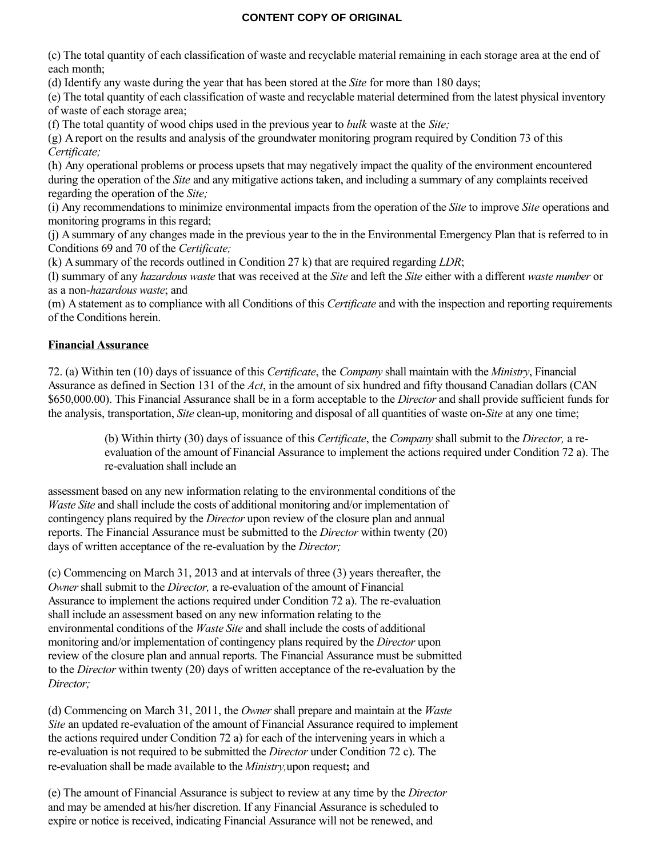(c) The total quantity of each classification of waste and recyclable material remaining in each storage area at the end of each month;

(d) Identify any waste during the year that has been stored at the *Site* for more than 180 days;

(e) The total quantity of each classification of waste and recyclable material determined from the latest physical inventory of waste of each storage area;

(f) The total quantity of wood chips used in the previous year to *bulk* waste at the *Site;*

(g) A report on the results and analysis of the groundwater monitoring program required by Condition 73 of this *Certificate;*

(h) Any operational problems or process upsets that may negatively impact the quality of the environment encountered during the operation of the *Site* and any mitigative actions taken, and including a summary of any complaints received regarding the operation of the *Site;*

(i) Any recommendations to minimize environmental impacts from the operation of the *Site* to improve *Site* operations and monitoring programs in this regard;

(j) A summary of any changes made in the previous year to the in the Environmental Emergency Plan that is referred to in Conditions 69 and 70 of the *Certificate;*

(k) A summary of the records outlined in Condition 27 k) that are required regarding *LDR*;

(l) summary of any *hazardous waste* that was received at the *Site* and left the *Site* either with a different *waste number* or as a non-*hazardous waste*; and

(m) A statement as to compliance with all Conditions of this *Certificate* and with the inspection and reporting requirements of the Conditions herein.

# **Financial Assurance**

72. (a) Within ten (10) days of issuance of this *Certificate*, the *Company* shall maintain with the *Ministry*, Financial Assurance as defined in Section 131 of the *Act*, in the amount of six hundred and fifty thousand Canadian dollars (CAN \$650,000.00). This Financial Assurance shall be in a form acceptable to the *Director* and shall provide sufficient funds for the analysis, transportation, *Site* clean-up, monitoring and disposal of all quantities of waste on-*Site* at any one time;

(b) Within thirty (30) days of issuance of this *Certificate*, the *Company* shall submit to the *Director,* a reevaluation of the amount of Financial Assurance to implement the actions required under Condition 72 a). The re-evaluation shall include an

assessment based on any new information relating to the environmental conditions of the *Waste Site* and shall include the costs of additional monitoring and/or implementation of contingency plans required by the *Director* upon review of the closure plan and annual reports. The Financial Assurance must be submitted to the *Director* within twenty (20) days of written acceptance of the re-evaluation by the *Director;*

(c) Commencing on March 31, 2013 and at intervals of three (3) years thereafter, the *Owner* shall submit to the *Director,* a re-evaluation of the amount of Financial Assurance to implement the actions required under Condition 72 a). The re-evaluation shall include an assessment based on any new information relating to the environmental conditions of the *Waste Site* and shall include the costs of additional monitoring and/or implementation of contingency plans required by the *Director* upon review of the closure plan and annual reports. The Financial Assurance must be submitted to the *Director* within twenty (20) days of written acceptance of the re-evaluation by the *Director;*

(d) Commencing on March 31, 2011, the *Owner* shall prepare and maintain at the *Waste Site* an updated re-evaluation of the amount of Financial Assurance required to implement the actions required under Condition 72 a) for each of the intervening years in which a re-evaluation is not required to be submitted the *Director* under Condition 72 c). The re-evaluation shall be made available to the *Ministry,*upon request**;** and

(e) The amount of Financial Assurance is subject to review at any time by the *Director* and may be amended at his/her discretion. If any Financial Assurance is scheduled to expire or notice is received, indicating Financial Assurance will not be renewed, and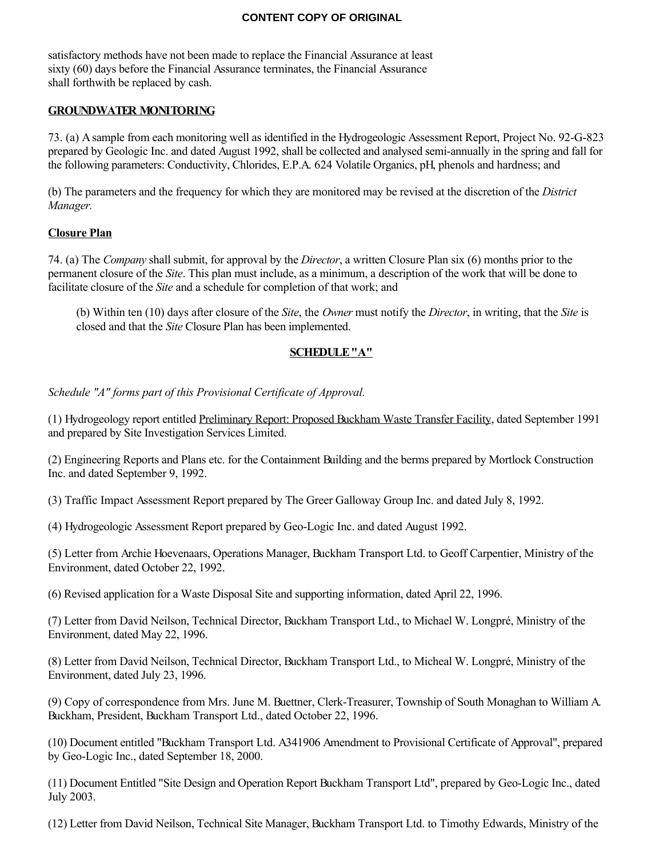satisfactory methods have not been made to replace the Financial Assurance at least sixty (60) days before the Financial Assurance terminates, the Financial Assurance shall forthwith be replaced by cash.

### **GROUNDWATER MONITORING**

73. (a) A sample from each monitoring well as identified in the Hydrogeologic Assessment Report, Project No. 92-G-823 prepared by Geologic Inc. and dated August 1992, shall be collected and analysed semi-annually in the spring and fall for the following parameters: Conductivity, Chlorides, E.P.A. 624 Volatile Organics, pH, phenols and hardness; and

(b) The parameters and the frequency for which they are monitored may be revised at the discretion of the *District Manager.*

#### **Closure Plan**

74. (a) The *Company* shall submit, for approval by the *Director*, a written Closure Plan six (6) months prior to the permanent closure of the *Site*. This plan must include, as a minimum, a description of the work that will be done to facilitate closure of the *Site* and a schedule for completion of that work; and

(b) Within ten (10) days after closure of the *Site*, the *Owner* must notify the *Director*, in writing, that the *Site* is closed and that the *Site* Closure Plan has been implemented.

#### **SCHEDULE "A"**

*Schedule "A" forms part of this Provisional Certificate of Approval.*

(1) Hydrogeology report entitled Preliminary Report: Proposed Buckham Waste Transfer Facility, dated September 1991 and prepared by Site Investigation Services Limited.

(2) Engineering Reports and Plans etc. for the Containment Building and the berms prepared by Mortlock Construction Inc. and dated September 9, 1992.

(3) Traffic Impact Assessment Report prepared by The Greer Galloway Group Inc. and dated July 8, 1992.

(4) Hydrogeologic Assessment Report prepared by Geo-Logic Inc. and dated August 1992.

(5) Letter from Archie Hoevenaars, Operations Manager, Buckham Transport Ltd. to Geoff Carpentier, Ministry of the Environment, dated October 22, 1992.

(6) Revised application for a Waste Disposal Site and supporting information, dated April 22, 1996.

(7) Letter from David Neilson, Technical Director, Buckham Transport Ltd., to Michael W. Longpré, Ministry of the Environment, dated May 22, 1996.

(8) Letter from David Neilson, Technical Director, Buckham Transport Ltd., to Micheal W. Longpré, Ministry of the Environment, dated July 23, 1996.

(9) Copy of correspondence from Mrs. June M. Buettner, Clerk-Treasurer, Township of South Monaghan to William A. Buckham, President, Buckham Transport Ltd., dated October 22, 1996.

(10) Document entitled "Buckham Transport Ltd. A341906 Amendment to Provisional Certificate of Approval", prepared by Geo-Logic Inc., dated September 18, 2000.

(11) Document Entitled "Site Design and Operation Report Buckham Transport Ltd", prepared by Geo-Logic Inc., dated July 2003.

(12) Letter from David Neilson, Technical Site Manager, Buckham Transport Ltd. to Timothy Edwards, Ministry of the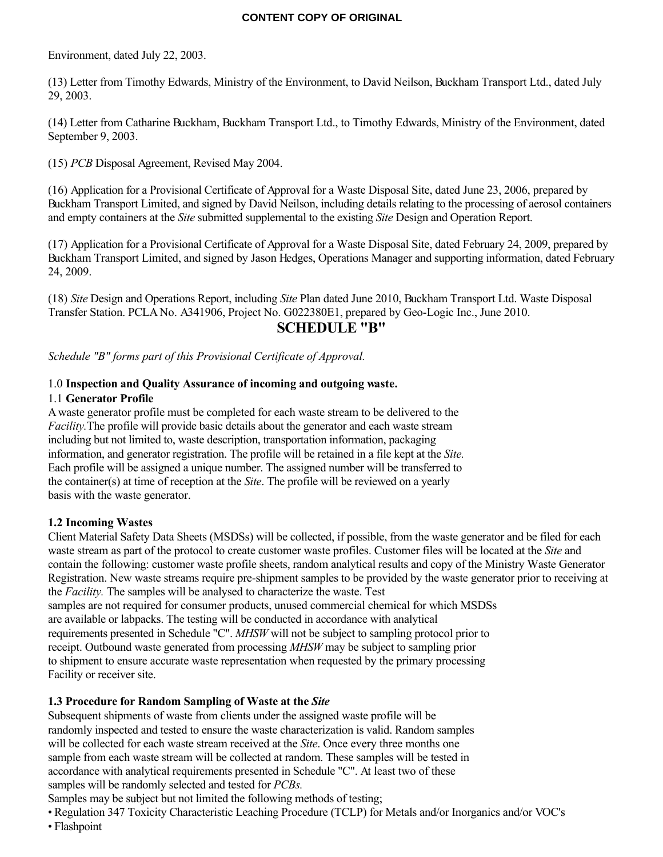Environment, dated July 22, 2003.

(13) Letter from Timothy Edwards, Ministry of the Environment, to David Neilson, Buckham Transport Ltd., dated July 29, 2003.

(14) Letter from Catharine Buckham, Buckham Transport Ltd., to Timothy Edwards, Ministry of the Environment, dated September 9, 2003.

(15) *PCB* Disposal Agreement, Revised May 2004.

(16) Application for a Provisional Certificate of Approval for a Waste Disposal Site, dated June 23, 2006, prepared by Buckham Transport Limited, and signed by David Neilson, including details relating to the processing of aerosol containers and empty containers at the *Site* submitted supplemental to the existing *Site* Design and Operation Report.

(17) Application for a Provisional Certificate of Approval for a Waste Disposal Site, dated February 24, 2009, prepared by Buckham Transport Limited, and signed by Jason Hedges, Operations Manager and supporting information, dated February 24, 2009.

(18) *Site* Design and Operations Report, including *Site* Plan dated June 2010, Buckham Transport Ltd. Waste Disposal Transfer Station. PCLA No. A341906, Project No. G022380E1, prepared by Geo-Logic Inc., June 2010.

# **SCHEDULE "B"**

*Schedule "B" forms part of this Provisional Certificate of Approval.*

## 1.0 **Inspection and Quality Assurance of incoming and outgoing waste.**

## 1.1 **Generator Profile**

A waste generator profile must be completed for each waste stream to be delivered to the *Facility.*The profile will provide basic details about the generator and each waste stream including but not limited to, waste description, transportation information, packaging information, and generator registration. The profile will be retained in a file kept at the *Site.* Each profile will be assigned a unique number. The assigned number will be transferred to the container(s) at time of reception at the *Site*. The profile will be reviewed on a yearly basis with the waste generator.

## **1.2 Incoming Wastes**

Client Material Safety Data Sheets (MSDSs) will be collected, if possible, from the waste generator and be filed for each waste stream as part of the protocol to create customer waste profiles. Customer files will be located at the *Site* and contain the following: customer waste profile sheets, random analytical results and copy of the Ministry Waste Generator Registration. New waste streams require pre-shipment samples to be provided by the waste generator prior to receiving at the *Facility.* The samples will be analysed to characterize the waste. Test samples are not required for consumer products, unused commercial chemical for which MSDSs are available or labpacks. The testing will be conducted in accordance with analytical

requirements presented in Schedule "C". *MHSW* will not be subject to sampling protocol prior to receipt. Outbound waste generated from processing *MHSW* may be subject to sampling prior to shipment to ensure accurate waste representation when requested by the primary processing Facility or receiver site.

# **1.3 Procedure for Random Sampling of Waste at the** *Site*

Subsequent shipments of waste from clients under the assigned waste profile will be randomly inspected and tested to ensure the waste characterization is valid. Random samples will be collected for each waste stream received at the *Site*. Once every three months one sample from each waste stream will be collected at random. These samples will be tested in accordance with analytical requirements presented in Schedule "C". At least two of these samples will be randomly selected and tested for *PCBs.*

Samples may be subject but not limited the following methods of testing;

• Regulation 347 Toxicity Characteristic Leaching Procedure (TCLP) for Metals and/or Inorganics and/or VOC's

• Flashpoint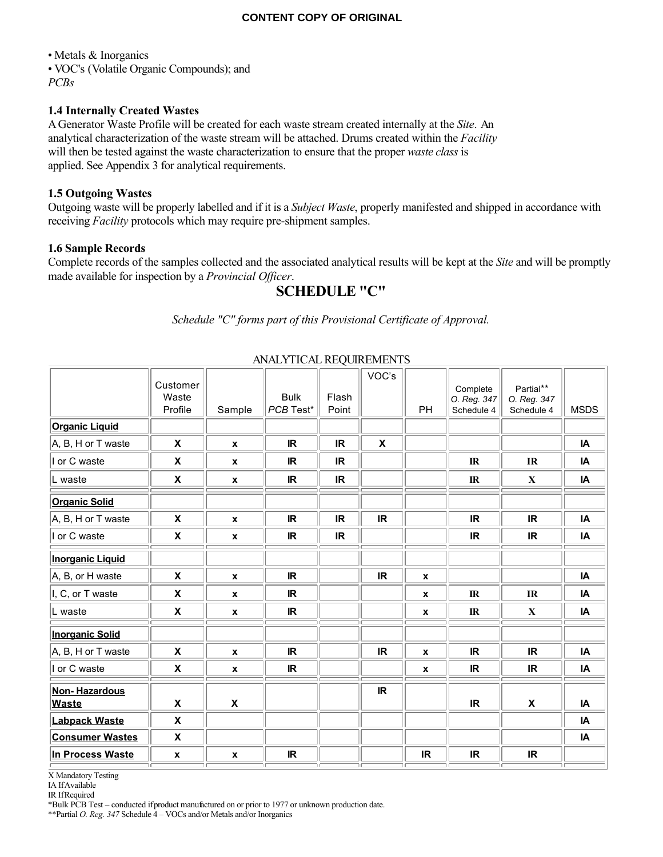• Metals & Inorganics • VOC's (Volatile Organic Compounds); and *PCBs*

#### **1.4 Internally Created Wastes**

A Generator Waste Profile will be created for each waste stream created internally at the *Site*. An analytical characterization of the waste stream will be attached. Drums created within the *Facility* will then be tested against the waste characterization to ensure that the proper *waste class* is applied. See Appendix 3 for analytical requirements.

#### **1.5 Outgoing Wastes**

Outgoing waste will be properly labelled and if it is a *Subject Waste*, properly manifested and shipped in accordance with receiving *Facility* protocols which may require pre-shipment samples.

#### **1.6 Sample Records**

Complete records of the samples collected and the associated analytical results will be kept at the *Site* and will be promptly made available for inspection by a *Provincial Officer*.

# **SCHEDULE "C"**

*Schedule "C" forms part of this Provisional Certificate of Approval.*

|                                      | Customer<br>Waste<br>Profile | Sample                    | <b>Bulk</b><br>PCB Test* | Flash<br>Point | VOC's     | PH           | Complete<br>O. Reg. 347<br>Schedule 4 | Partial**<br>O. Reg. 347<br>Schedule 4 | <b>MSDS</b> |
|--------------------------------------|------------------------------|---------------------------|--------------------------|----------------|-----------|--------------|---------------------------------------|----------------------------------------|-------------|
| <b>Organic Liquid</b>                |                              |                           |                          |                |           |              |                                       |                                        |             |
| A, B, H or T waste                   | $\boldsymbol{\mathsf{X}}$    | $\mathbf{x}$              | <b>IR</b>                | <b>IR</b>      | X         |              |                                       |                                        | IA          |
| I or C waste                         | $\pmb{\mathsf{X}}$           | $\mathbf x$               | IR                       | IR.            |           |              | $\mathbb{R}$                          | IR                                     | IA          |
| L waste                              | $\pmb{\mathsf{X}}$           | $\pmb{\chi}$              | <b>IR</b>                | <b>IR</b>      |           |              | $\mathbb{R}$                          | $\mathbf X$                            | IA          |
| <b>Organic Solid</b>                 |                              |                           |                          |                |           |              |                                       |                                        |             |
| A, B, H or T waste                   | X                            | $\mathbf{x}$              | <b>IR</b>                | <b>IR</b>      | <b>IR</b> |              | <b>IR</b>                             | <b>IR</b>                              | IA          |
| I or C waste                         | $\boldsymbol{\mathsf{x}}$    | $\pmb{\chi}$              | <b>IR</b>                | <b>IR</b>      |           |              | <b>IR</b>                             | <b>IR</b>                              | IA          |
| <b>Inorganic Liquid</b>              |                              |                           |                          |                |           |              |                                       |                                        |             |
| A, B, or H waste                     | $\boldsymbol{\mathsf{x}}$    | $\pmb{\chi}$              | <b>IR</b>                |                | <b>IR</b> | $\pmb{\chi}$ |                                       |                                        | IA          |
| I, C, or T waste                     | $\pmb{\mathsf{X}}$           | $\pmb{\chi}$              | <b>IR</b>                |                |           | $\pmb{\chi}$ | $_{\rm IR}$                           | IR                                     | IA          |
| L waste                              | $\pmb{\mathsf{x}}$           | $\pmb{\mathsf{x}}$        | <b>IR</b>                |                |           | $\pmb{\chi}$ | $\mathbb{R}$                          | $\mathbf X$                            | IA          |
| <b>Inorganic Solid</b>               |                              |                           |                          |                |           |              |                                       |                                        |             |
| A, B, H or T waste                   | $\pmb{\chi}$                 | $\pmb{\chi}$              | <b>IR</b>                |                | <b>IR</b> | $\pmb{\chi}$ | <b>IR</b>                             | <b>IR</b>                              | IA          |
| I or C waste                         | $\pmb{\mathsf{X}}$           | $\boldsymbol{x}$          | <b>IR</b>                |                |           | $\pmb{\chi}$ | <b>IR</b>                             | <b>IR</b>                              | IA          |
| <b>Non-Hazardous</b><br><b>Waste</b> | $\boldsymbol{\mathsf{x}}$    | $\boldsymbol{\mathsf{x}}$ |                          |                | IR        |              | IR.                                   | X                                      | IA          |
| <b>Labpack Waste</b>                 | $\boldsymbol{\mathsf{x}}$    |                           |                          |                |           |              |                                       |                                        | IA          |
| <b>Consumer Wastes</b>               | $\pmb{\chi}$                 |                           |                          |                |           |              |                                       |                                        | IA          |
| In Process Waste                     | $\mathbf{x}$                 | $\pmb{\mathsf{x}}$        | <b>IR</b>                |                |           | <b>IR</b>    | <b>IR</b>                             | <b>IR</b>                              |             |

## ANALYTICAL REQUIREMENTS

X Mandatory Testing

IA If Available

IR If Required

\*Bulk PCB Test – conducted if product manufactured on or prior to 1977 or unknown production date.

\*\*Partial *O. Reg. 347* Schedule 4 – VOCs and/or Metals and/or Inorganics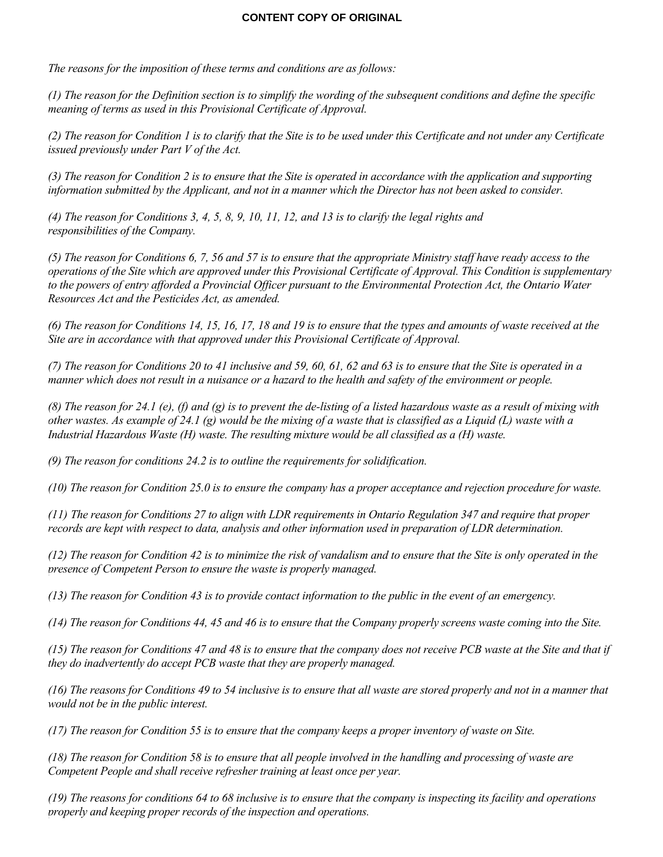*The reasons for the imposition of these terms and conditions are as follows:*

*(1) The reason for the Definition section is to simplify the wording of the subsequent conditions and define the specific meaning of terms as used in this Provisional Certificate of Approval.*

*(2) The reason for Condition 1 is to clarify that the Site is to be used under this Certificate and not under any Certificate issued previously under Part V of the Act.*

*(3) The reason for Condition 2 is to ensure that the Site is operated in accordance with the application and supporting information submitted by the Applicant, and not in a manner which the Director has not been asked to consider.*

*(4) The reason for Conditions 3, 4, 5, 8, 9, 10, 11, 12, and 13 is to clarify the legal rights and responsibilities of the Company.*

*(5) The reason for Conditions 6, 7, 56 and 57 is to ensure that the appropriate Ministry staff have ready access to the operations of the Site which are approved under this Provisional Certificate of Approval. This Condition is supplementary to the powers of entry afforded a Provincial Officer pursuant to the Environmental Protection Act, the Ontario Water Resources Act and the Pesticides Act, as amended.*

*(6) The reason for Conditions 14, 15, 16, 17, 18 and 19 is to ensure that the types and amounts of waste received at the Site are in accordance with that approved under this Provisional Certificate of Approval.*

*(7) The reason for Conditions 20 to 41 inclusive and 59, 60, 61, 62 and 63 is to ensure that the Site is operated in a manner which does not result in a nuisance or a hazard to the health and safety of the environment or people.*

*(8) The reason for 24.1 (e), (f) and (g) is to prevent the de-listing of a listed hazardous waste as a result of mixing with other wastes. As example of 24.1 (g) would be the mixing of a waste that is classified as a Liquid (L) waste with a Industrial Hazardous Waste (H) waste. The resulting mixture would be all classified as a (H) waste.*

*(9) The reason for conditions 24.2 is to outline the requirements for solidification.*

*(10) The reason for Condition 25.0 is to ensure the company has a proper acceptance and rejection procedure for waste.*

*(11) The reason for Conditions 27 to align with LDR requirements in Ontario Regulation 347 and require that proper records are kept with respect to data, analysis and other information used in preparation of LDR determination.*

*(12) The reason for Condition 42 is to minimize the risk of vandalism and to ensure that the Site is only operated in the presence of Competent Person to ensure the waste is properly managed.*

*(13) The reason for Condition 43 is to provide contact information to the public in the event of an emergency.*

*(14) The reason for Conditions 44, 45 and 46 is to ensure that the Company properly screens waste coming into the Site.*

*(15) The reason for Conditions 47 and 48 is to ensure that the company does not receive PCB waste at the Site and that if they do inadvertently do accept PCB waste that they are properly managed.*

*(16) The reasons for Conditions 49 to 54 inclusive is to ensure that all waste are stored properly and not in a manner that would not be in the public interest.*

*(17) The reason for Condition 55 is to ensure that the company keeps a proper inventory of waste on Site.*

*(18) The reason for Condition 58 is to ensure that all people involved in the handling and processing of waste are Competent People and shall receive refresher training at least once per year.*

*(19) The reasons for conditions 64 to 68 inclusive is to ensure that the company is inspecting its facility and operations properly and keeping proper records of the inspection and operations.*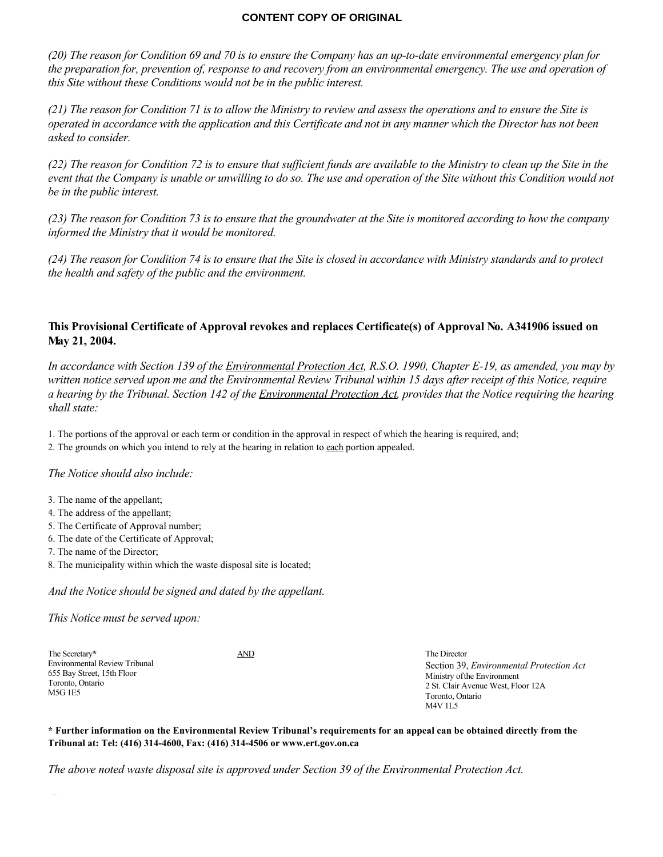*(20) The reason for Condition 69 and 70 is to ensure the Company has an up-to-date environmental emergency plan for the preparation for, prevention of, response to and recovery from an environmental emergency. The use and operation of this Site without these Conditions would not be in the public interest.*

*(21) The reason for Condition 71 is to allow the Ministry to review and assess the operations and to ensure the Site is operated in accordance with the application and this Certificate and not in any manner which the Director has not been asked to consider.*

*(22) The reason for Condition 72 is to ensure that sufficient funds are available to the Ministry to clean up the Site in the event that the Company is unable or unwilling to do so. The use and operation of the Site without this Condition would not be in the public interest.*

*(23) The reason for Condition 73 is to ensure that the groundwater at the Site is monitored according to how the company informed the Ministry that it would be monitored.*

*(24) The reason for Condition 74 is to ensure that the Site is closed in accordance with Ministry standards and to protect the health and safety of the public and the environment.*

## **This Provisional Certificate of Approval revokes and replaces Certificate(s) of Approval No. A341906 issued on May 21, 2004.**

*In accordance with Section 139 of the Environmental Protection Act, R.S.O. 1990, Chapter E-19, as amended, you may by written notice served upon me and the Environmental Review Tribunal within 15 days after receipt of this Notice, require a hearing by the Tribunal. Section 142 of the Environmental Protection Act, provides that the Notice requiring the hearing shall state:*

1. The portions of the approval or each term or condition in the approval in respect of which the hearing is required, and;

2. The grounds on which you intend to rely at the hearing in relation to each portion appealed.

## *The Notice should also include:*

- 3. The name of the appellant;
- 4. The address of the appellant;
- 5. The Certificate of Approval number;
- 6. The date of the Certificate of Approval;
- 7. The name of the Director;
- 8. The municipality within which the waste disposal site is located;

*And the Notice should be signed and dated by the appellant.*

*This Notice must be served upon:*

The Secretary**\*** Environmental Review Tribunal 655 Bay Street, 15th Floor Toronto, Ontario M5G 1E5 AND The Director Section 39, *Environmental Protection Act* Ministry of the Environment 2 St. Clair Avenue West, Floor 12A Toronto, Ontario M4V 1L5

**\* Further information on the Environmental Review Tribunal's requirements for an appeal can be obtained directly from the Tribunal at: Tel: (416) 314-4600, Fax: (416) 314-4506 or www.ert.gov.on.ca**

*The above noted waste disposal site is approved under Section 39 of the Environmental Protection Act.*